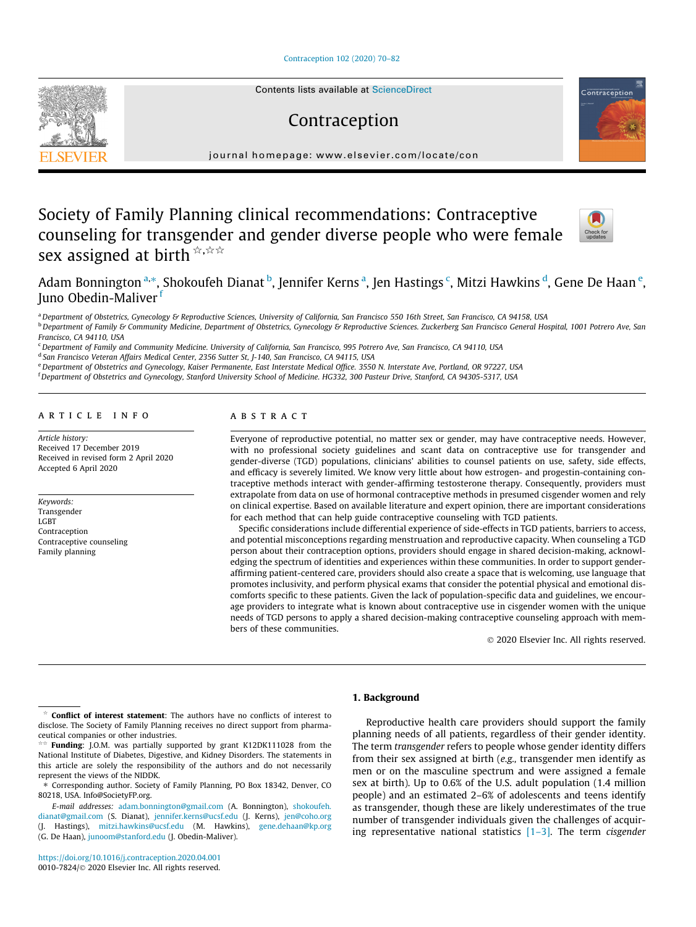# [Contraception 102 \(2020\) 70–82](https://doi.org/10.1016/j.contraception.2020.04.001)

# Contraception



journal homepage: [www.elsevier.com/locate/con](http://www.elsevier.com/locate/con)

# Society of Family Planning clinical recommendations: Contraceptive counseling for transgender and gender diverse people who were female sex assigned at birth  $\sqrt[k]{x}$



Adam Bonnington <sup>a,</sup>\*, Shokoufeh Dianat <sup>b</sup>, Jennifer Kerns <sup>a</sup>, Jen Hastings <sup>c</sup>, Mitzi Hawkins <sup>d</sup>, Gene De Haan <sup>e</sup>, Juno Obedin-Maliver <sup>f</sup>

a Department of Obstetrics, Gynecology & Reproductive Sciences, University of California, San Francisco 550 16th Street, San Francisco, CA 94158, USA

<sup>b</sup> Department of Family & Community Medicine, Department of Obstetrics, Gynecology & Reproductive Sciences. Zuckerberg San Francisco General Hospital, 1001 Potrero Ave, San Francisco, CA 94110, USA

<sup>c</sup> Department of Family and Community Medicine. University of California, San Francisco, 995 Potrero Ave, San Francisco, CA 94110, USA

<sup>d</sup> San Francisco Veteran Affairs Medical Center, 2356 Sutter St, J-140, San Francisco, CA 94115, USA

eDepartment of Obstetrics and Gynecology, Kaiser Permanente, East Interstate Medical Office. 3550 N. Interstate Ave, Portland, OR 97227, USA

<sup>f</sup> Department of Obstetrics and Gynecology, Stanford University School of Medicine. HG332, 300 Pasteur Drive, Stanford, CA 94305-5317, USA

# article info

Article history: Received 17 December 2019 Received in revised form 2 April 2020 Accepted 6 April 2020

Keywords: Transgender LGBT Contraception Contraceptive counseling Family planning

## **ABSTRACT**

Everyone of reproductive potential, no matter sex or gender, may have contraceptive needs. However, with no professional society guidelines and scant data on contraceptive use for transgender and gender-diverse (TGD) populations, clinicians' abilities to counsel patients on use, safety, side effects, and efficacy is severely limited. We know very little about how estrogen- and progestin-containing contraceptive methods interact with gender-affirming testosterone therapy. Consequently, providers must extrapolate from data on use of hormonal contraceptive methods in presumed cisgender women and rely on clinical expertise. Based on available literature and expert opinion, there are important considerations for each method that can help guide contraceptive counseling with TGD patients.

Specific considerations include differential experience of side-effects in TGD patients, barriers to access, and potential misconceptions regarding menstruation and reproductive capacity. When counseling a TGD person about their contraception options, providers should engage in shared decision-making, acknowledging the spectrum of identities and experiences within these communities. In order to support genderaffirming patient-centered care, providers should also create a space that is welcoming, use language that promotes inclusivity, and perform physical exams that consider the potential physical and emotional discomforts specific to these patients. Given the lack of population-specific data and guidelines, we encourage providers to integrate what is known about contraceptive use in cisgender women with the unique needs of TGD persons to apply a shared decision-making contraceptive counseling approach with members of these communities.

2020 Elsevier Inc. All rights reserved.

# 1. Background

Reproductive health care providers should support the family planning needs of all patients, regardless of their gender identity. The term transgender refers to people whose gender identity differs from their sex assigned at birth (e.g., transgender men identify as men or on the masculine spectrum and were assigned a female sex at birth). Up to 0.6% of the U.S. adult population (1.4 million people) and an estimated 2–6% of adolescents and teens identify as transgender, though these are likely underestimates of the true number of transgender individuals given the challenges of acquiring representative national statistics  $[1-3]$ . The term cisgender

Conflict of interest statement: The authors have no conflicts of interest to disclose. The Society of Family Planning receives no direct support from pharmaceutical companies or other industries.

Funding: J.O.M. was partially supported by grant K12DK111028 from the National Institute of Diabetes, Digestive, and Kidney Disorders. The statements in this article are solely the responsibility of the authors and do not necessarily represent the views of the NIDDK.

<sup>⇑</sup> Corresponding author. Society of Family Planning, PO Box 18342, Denver, CO 80218, USA. Info@SocietyFP.org.

E-mail addresses: [adam.bonnington@gmail.com](mailto:adam.bonnington@gmail.com) (A. Bonnington), [shokoufeh.](mailto:shokoufeh.dianat@gmail.com) [dianat@gmail.com](mailto:shokoufeh.dianat@gmail.com) (S. Dianat), [jennifer.kerns@ucsf.edu](mailto:jennifer.kerns@ucsf.edu) (J. Kerns), [jen@coho.org](mailto:jen@coho.org) (J. Hastings), [mitzi.hawkins@ucsf.edu](mailto:mitzi.hawkins@ucsf.edu) (M. Hawkins), [gene.dehaan@kp.org](mailto:gene.dehaan@kp.org) (G. De Haan), [junoom@stanford.edu](mailto:junoom@stanford.edu) (J. Obedin-Maliver).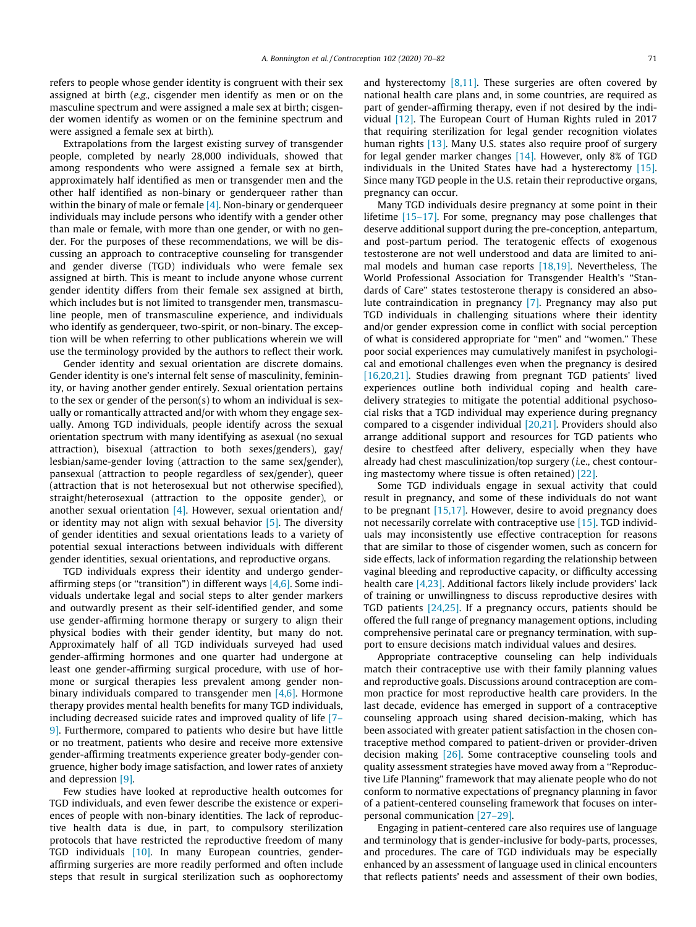refers to people whose gender identity is congruent with their sex assigned at birth (e.g., cisgender men identify as men or on the masculine spectrum and were assigned a male sex at birth; cisgender women identify as women or on the feminine spectrum and were assigned a female sex at birth).

Extrapolations from the largest existing survey of transgender people, completed by nearly 28,000 individuals, showed that among respondents who were assigned a female sex at birth, approximately half identified as men or transgender men and the other half identified as non-binary or genderqueer rather than within the binary of male or female  $[4]$ . Non-binary or genderqueer individuals may include persons who identify with a gender other than male or female, with more than one gender, or with no gender. For the purposes of these recommendations, we will be discussing an approach to contraceptive counseling for transgender and gender diverse (TGD) individuals who were female sex assigned at birth. This is meant to include anyone whose current gender identity differs from their female sex assigned at birth, which includes but is not limited to transgender men, transmasculine people, men of transmasculine experience, and individuals who identify as genderqueer, two-spirit, or non-binary. The exception will be when referring to other publications wherein we will use the terminology provided by the authors to reflect their work.

Gender identity and sexual orientation are discrete domains. Gender identity is one's internal felt sense of masculinity, femininity, or having another gender entirely. Sexual orientation pertains to the sex or gender of the person(s) to whom an individual is sexually or romantically attracted and/or with whom they engage sexually. Among TGD individuals, people identify across the sexual orientation spectrum with many identifying as asexual (no sexual attraction), bisexual (attraction to both sexes/genders), gay/ lesbian/same-gender loving (attraction to the same sex/gender), pansexual (attraction to people regardless of sex/gender), queer (attraction that is not heterosexual but not otherwise specified), straight/heterosexual (attraction to the opposite gender), or another sexual orientation  $[4]$ . However, sexual orientation and/ or identity may not align with sexual behavior [\[5\]](#page-10-0). The diversity of gender identities and sexual orientations leads to a variety of potential sexual interactions between individuals with different gender identities, sexual orientations, and reproductive organs.

TGD individuals express their identity and undergo genderaffirming steps (or "transition") in different ways  $[4,6]$ . Some individuals undertake legal and social steps to alter gender markers and outwardly present as their self-identified gender, and some use gender-affirming hormone therapy or surgery to align their physical bodies with their gender identity, but many do not. Approximately half of all TGD individuals surveyed had used gender-affirming hormones and one quarter had undergone at least one gender-affirming surgical procedure, with use of hormone or surgical therapies less prevalent among gender nonbinary individuals compared to transgender men  $[4,6]$ . Hormone therapy provides mental health benefits for many TGD individuals, including decreased suicide rates and improved quality of life [\[7–](#page-10-0) [9\]](#page-10-0). Furthermore, compared to patients who desire but have little or no treatment, patients who desire and receive more extensive gender-affirming treatments experience greater body-gender congruence, higher body image satisfaction, and lower rates of anxiety and depression [\[9\]](#page-10-0).

Few studies have looked at reproductive health outcomes for TGD individuals, and even fewer describe the existence or experiences of people with non-binary identities. The lack of reproductive health data is due, in part, to compulsory sterilization protocols that have restricted the reproductive freedom of many TGD individuals [\[10\].](#page-10-0) In many European countries, genderaffirming surgeries are more readily performed and often include steps that result in surgical sterilization such as oophorectomy and hysterectomy [\[8,11\]](#page-10-0). These surgeries are often covered by national health care plans and, in some countries, are required as part of gender-affirming therapy, even if not desired by the individual [\[12\].](#page-11-0) The European Court of Human Rights ruled in 2017 that requiring sterilization for legal gender recognition violates human rights [\[13\]](#page-11-0). Many U.S. states also require proof of surgery for legal gender marker changes [\[14\].](#page-11-0) However, only 8% of TGD individuals in the United States have had a hysterectomy [\[15\].](#page-11-0) Since many TGD people in the U.S. retain their reproductive organs, pregnancy can occur.

Many TGD individuals desire pregnancy at some point in their lifetime [\[15–17\]](#page-11-0). For some, pregnancy may pose challenges that deserve additional support during the pre-conception, antepartum, and post-partum period. The teratogenic effects of exogenous testosterone are not well understood and data are limited to animal models and human case reports [\[18,19\]](#page-11-0). Nevertheless, The World Professional Association for Transgender Health's ''Standards of Care" states testosterone therapy is considered an absolute contraindication in pregnancy [\[7\].](#page-10-0) Pregnancy may also put TGD individuals in challenging situations where their identity and/or gender expression come in conflict with social perception of what is considered appropriate for ''men" and ''women." These poor social experiences may cumulatively manifest in psychological and emotional challenges even when the pregnancy is desired [\[16,20,21\].](#page-11-0) Studies drawing from pregnant TGD patients' lived experiences outline both individual coping and health caredelivery strategies to mitigate the potential additional psychosocial risks that a TGD individual may experience during pregnancy compared to a cisgender individual [\[20,21\]](#page-11-0). Providers should also arrange additional support and resources for TGD patients who desire to chestfeed after delivery, especially when they have already had chest masculinization/top surgery (i.e., chest contouring mastectomy where tissue is often retained) [\[22\].](#page-11-0)

Some TGD individuals engage in sexual activity that could result in pregnancy, and some of these individuals do not want to be pregnant [\[15,17\]](#page-11-0). However, desire to avoid pregnancy does not necessarily correlate with contraceptive use [\[15\]](#page-11-0). TGD individuals may inconsistently use effective contraception for reasons that are similar to those of cisgender women, such as concern for side effects, lack of information regarding the relationship between vaginal bleeding and reproductive capacity, or difficulty accessing health care [\[4,23\].](#page-10-0) Additional factors likely include providers' lack of training or unwillingness to discuss reproductive desires with TGD patients [\[24,25\]](#page-11-0). If a pregnancy occurs, patients should be offered the full range of pregnancy management options, including comprehensive perinatal care or pregnancy termination, with support to ensure decisions match individual values and desires.

Appropriate contraceptive counseling can help individuals match their contraceptive use with their family planning values and reproductive goals. Discussions around contraception are common practice for most reproductive health care providers. In the last decade, evidence has emerged in support of a contraceptive counseling approach using shared decision-making, which has been associated with greater patient satisfaction in the chosen contraceptive method compared to patient-driven or provider-driven decision making [\[26\].](#page-11-0) Some contraceptive counseling tools and quality assessment strategies have moved away from a ''Reproductive Life Planning" framework that may alienate people who do not conform to normative expectations of pregnancy planning in favor of a patient-centered counseling framework that focuses on interpersonal communication [\[27–29\]](#page-11-0).

Engaging in patient-centered care also requires use of language and terminology that is gender-inclusive for body-parts, processes, and procedures. The care of TGD individuals may be especially enhanced by an assessment of language used in clinical encounters that reflects patients' needs and assessment of their own bodies,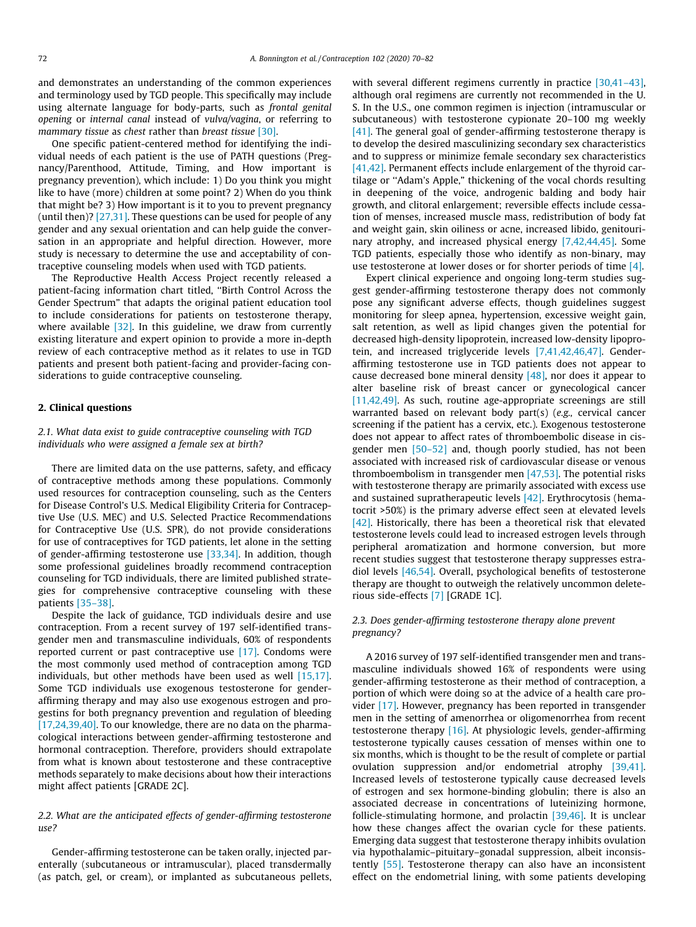and demonstrates an understanding of the common experiences and terminology used by TGD people. This specifically may include using alternate language for body-parts, such as frontal genital opening or internal canal instead of vulva/vagina, or referring to mammary tissue as chest rather than breast tissue [\[30\]](#page-11-0).

One specific patient-centered method for identifying the individual needs of each patient is the use of PATH questions (Pregnancy/Parenthood, Attitude, Timing, and How important is pregnancy prevention), which include: 1) Do you think you might like to have (more) children at some point? 2) When do you think that might be? 3) How important is it to you to prevent pregnancy (until then)?  $[27,31]$ . These questions can be used for people of any gender and any sexual orientation and can help guide the conversation in an appropriate and helpful direction. However, more study is necessary to determine the use and acceptability of contraceptive counseling models when used with TGD patients.

The Reproductive Health Access Project recently released a patient-facing information chart titled, ''Birth Control Across the Gender Spectrum" that adapts the original patient education tool to include considerations for patients on testosterone therapy, where available [\[32\]](#page-11-0). In this guideline, we draw from currently existing literature and expert opinion to provide a more in-depth review of each contraceptive method as it relates to use in TGD patients and present both patient-facing and provider-facing considerations to guide contraceptive counseling.

# 2. Clinical questions

# 2.1. What data exist to guide contraceptive counseling with TGD individuals who were assigned a female sex at birth?

There are limited data on the use patterns, safety, and efficacy of contraceptive methods among these populations. Commonly used resources for contraception counseling, such as the Centers for Disease Control's U.S. Medical Eligibility Criteria for Contraceptive Use (U.S. MEC) and U.S. Selected Practice Recommendations for Contraceptive Use (U.S. SPR), do not provide considerations for use of contraceptives for TGD patients, let alone in the setting of gender-affirming testosterone use [\[33,34\]](#page-11-0). In addition, though some professional guidelines broadly recommend contraception counseling for TGD individuals, there are limited published strategies for comprehensive contraceptive counseling with these patients [\[35–38\].](#page-11-0)

Despite the lack of guidance, TGD individuals desire and use contraception. From a recent survey of 197 self-identified transgender men and transmasculine individuals, 60% of respondents reported current or past contraceptive use [\[17\].](#page-11-0) Condoms were the most commonly used method of contraception among TGD individuals, but other methods have been used as well [\[15,17\].](#page-11-0) Some TGD individuals use exogenous testosterone for genderaffirming therapy and may also use exogenous estrogen and progestins for both pregnancy prevention and regulation of bleeding [\[17,24,39,40\]](#page-11-0). To our knowledge, there are no data on the pharmacological interactions between gender-affirming testosterone and hormonal contraception. Therefore, providers should extrapolate from what is known about testosterone and these contraceptive methods separately to make decisions about how their interactions might affect patients [GRADE 2C].

# 2.2. What are the anticipated effects of gender-affirming testosterone use?

Gender-affirming testosterone can be taken orally, injected parenterally (subcutaneous or intramuscular), placed transdermally (as patch, gel, or cream), or implanted as subcutaneous pellets,

with several different regimens currently in practice [30.41-43]. although oral regimens are currently not recommended in the U. S. In the U.S., one common regimen is injection (intramuscular or subcutaneous) with testosterone cypionate 20–100 mg weekly [\[41\]](#page-11-0). The general goal of gender-affirming testosterone therapy is to develop the desired masculinizing secondary sex characteristics and to suppress or minimize female secondary sex characteristics [\[41,42\].](#page-11-0) Permanent effects include enlargement of the thyroid cartilage or ''Adam's Apple," thickening of the vocal chords resulting in deepening of the voice, androgenic balding and body hair growth, and clitoral enlargement; reversible effects include cessation of menses, increased muscle mass, redistribution of body fat and weight gain, skin oiliness or acne, increased libido, genitourinary atrophy, and increased physical energy [\[7,42,44,45\]](#page-10-0). Some TGD patients, especially those who identify as non-binary, may use testosterone at lower doses or for shorter periods of time [\[4\]](#page-10-0).

Expert clinical experience and ongoing long-term studies suggest gender-affirming testosterone therapy does not commonly pose any significant adverse effects, though guidelines suggest monitoring for sleep apnea, hypertension, excessive weight gain, salt retention, as well as lipid changes given the potential for decreased high-density lipoprotein, increased low-density lipoprotein, and increased triglyceride levels [\[7,41,42,46,47\].](#page-10-0) Genderaffirming testosterone use in TGD patients does not appear to cause decreased bone mineral density  $[48]$ , nor does it appear to alter baseline risk of breast cancer or gynecological cancer [\[11,42,49\].](#page-10-0) As such, routine age-appropriate screenings are still warranted based on relevant body part(s) (e.g., cervical cancer screening if the patient has a cervix, etc.). Exogenous testosterone does not appear to affect rates of thromboembolic disease in cisgender men [\[50–52\]](#page-11-0) and, though poorly studied, has not been associated with increased risk of cardiovascular disease or venous thromboembolism in transgender men  $[47,53]$ . The potential risks with testosterone therapy are primarily associated with excess use and sustained supratherapeutic levels [\[42\].](#page-11-0) Erythrocytosis (hematocrit >50%) is the primary adverse effect seen at elevated levels  $[42]$ . Historically, there has been a theoretical risk that elevated testosterone levels could lead to increased estrogen levels through peripheral aromatization and hormone conversion, but more recent studies suggest that testosterone therapy suppresses estradiol levels [\[46,54\].](#page-11-0) Overall, psychological benefits of testosterone therapy are thought to outweigh the relatively uncommon deleterious side-effects [\[7\]](#page-10-0) [GRADE 1C].

# 2.3. Does gender-affirming testosterone therapy alone prevent pregnancy?

A 2016 survey of 197 self-identified transgender men and transmasculine individuals showed 16% of respondents were using gender-affirming testosterone as their method of contraception, a portion of which were doing so at the advice of a health care provider [\[17\]](#page-11-0). However, pregnancy has been reported in transgender men in the setting of amenorrhea or oligomenorrhea from recent testosterone therapy [\[16\]](#page-11-0). At physiologic levels, gender-affirming testosterone typically causes cessation of menses within one to six months, which is thought to be the result of complete or partial ovulation suppression and/or endometrial atrophy [\[39,41\].](#page-11-0) Increased levels of testosterone typically cause decreased levels of estrogen and sex hormone-binding globulin; there is also an associated decrease in concentrations of luteinizing hormone, follicle-stimulating hormone, and prolactin [\[39,46\].](#page-11-0) It is unclear how these changes affect the ovarian cycle for these patients. Emerging data suggest that testosterone therapy inhibits ovulation via hypothalamic–pituitary–gonadal suppression, albeit inconsistently [\[55\].](#page-11-0) Testosterone therapy can also have an inconsistent effect on the endometrial lining, with some patients developing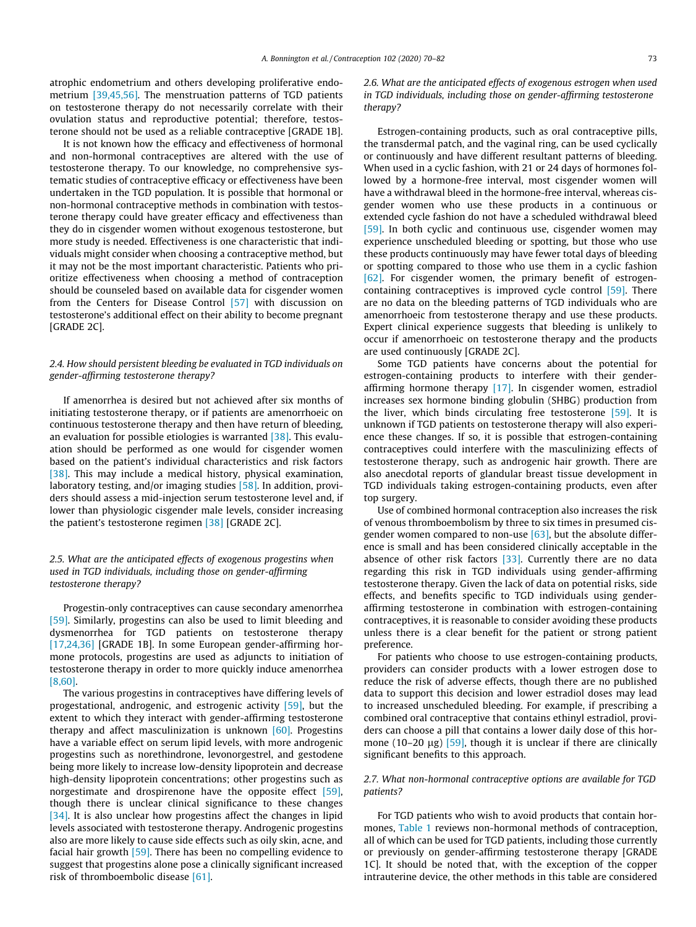atrophic endometrium and others developing proliferative endometrium [\[39,45,56\].](#page-11-0) The menstruation patterns of TGD patients on testosterone therapy do not necessarily correlate with their ovulation status and reproductive potential; therefore, testosterone should not be used as a reliable contraceptive [GRADE 1B].

It is not known how the efficacy and effectiveness of hormonal and non-hormonal contraceptives are altered with the use of testosterone therapy. To our knowledge, no comprehensive systematic studies of contraceptive efficacy or effectiveness have been undertaken in the TGD population. It is possible that hormonal or non-hormonal contraceptive methods in combination with testosterone therapy could have greater efficacy and effectiveness than they do in cisgender women without exogenous testosterone, but more study is needed. Effectiveness is one characteristic that individuals might consider when choosing a contraceptive method, but it may not be the most important characteristic. Patients who prioritize effectiveness when choosing a method of contraception should be counseled based on available data for cisgender women from the Centers for Disease Control [\[57\]](#page-11-0) with discussion on testosterone's additional effect on their ability to become pregnant [GRADE 2C].

# 2.4. How should persistent bleeding be evaluated in TGD individuals on gender-affirming testosterone therapy?

If amenorrhea is desired but not achieved after six months of initiating testosterone therapy, or if patients are amenorrhoeic on continuous testosterone therapy and then have return of bleeding, an evaluation for possible etiologies is warranted [\[38\]](#page-11-0). This evaluation should be performed as one would for cisgender women based on the patient's individual characteristics and risk factors [\[38\].](#page-11-0) This may include a medical history, physical examination, laboratory testing, and/or imaging studies [\[58\]](#page-11-0). In addition, providers should assess a mid-injection serum testosterone level and, if lower than physiologic cisgender male levels, consider increasing the patient's testosterone regimen [\[38\]](#page-11-0) [GRADE 2C].

# 2.5. What are the anticipated effects of exogenous progestins when used in TGD individuals, including those on gender-affirming testosterone therapy?

Progestin-only contraceptives can cause secondary amenorrhea [\[59\].](#page-11-0) Similarly, progestins can also be used to limit bleeding and dysmenorrhea for TGD patients on testosterone therapy [\[17,24,36\]](#page-11-0) [GRADE 1B]. In some European gender-affirming hormone protocols, progestins are used as adjuncts to initiation of testosterone therapy in order to more quickly induce amenorrhea [\[8,60\].](#page-10-0)

The various progestins in contraceptives have differing levels of progestational, androgenic, and estrogenic activity [\[59\],](#page-11-0) but the extent to which they interact with gender-affirming testosterone therapy and affect masculinization is unknown  $[60]$ . Progestins have a variable effect on serum lipid levels, with more androgenic progestins such as norethindrone, levonorgestrel, and gestodene being more likely to increase low-density lipoprotein and decrease high-density lipoprotein concentrations; other progestins such as norgestimate and drospirenone have the opposite effect [\[59\],](#page-11-0) though there is unclear clinical significance to these changes [\[34\].](#page-11-0) It is also unclear how progestins affect the changes in lipid levels associated with testosterone therapy. Androgenic progestins also are more likely to cause side effects such as oily skin, acne, and facial hair growth [\[59\]](#page-11-0). There has been no compelling evidence to suggest that progestins alone pose a clinically significant increased risk of thromboembolic disease [\[61\]](#page-11-0).

2.6. What are the anticipated effects of exogenous estrogen when used in TGD individuals, including those on gender-affirming testosterone therapy?

Estrogen-containing products, such as oral contraceptive pills, the transdermal patch, and the vaginal ring, can be used cyclically or continuously and have different resultant patterns of bleeding. When used in a cyclic fashion, with 21 or 24 days of hormones followed by a hormone-free interval, most cisgender women will have a withdrawal bleed in the hormone-free interval, whereas cisgender women who use these products in a continuous or extended cycle fashion do not have a scheduled withdrawal bleed [\[59\]](#page-11-0). In both cyclic and continuous use, cisgender women may experience unscheduled bleeding or spotting, but those who use these products continuously may have fewer total days of bleeding or spotting compared to those who use them in a cyclic fashion [\[62\]](#page-11-0). For cisgender women, the primary benefit of estrogencontaining contraceptives is improved cycle control [\[59\]](#page-11-0). There are no data on the bleeding patterns of TGD individuals who are amenorrhoeic from testosterone therapy and use these products. Expert clinical experience suggests that bleeding is unlikely to occur if amenorrhoeic on testosterone therapy and the products are used continuously [GRADE 2C].

Some TGD patients have concerns about the potential for estrogen-containing products to interfere with their gender-affirming hormone therapy [\[17\]](#page-11-0). In cisgender women, estradiol increases sex hormone binding globulin (SHBG) production from the liver, which binds circulating free testosterone [\[59\].](#page-11-0) It is unknown if TGD patients on testosterone therapy will also experience these changes. If so, it is possible that estrogen-containing contraceptives could interfere with the masculinizing effects of testosterone therapy, such as androgenic hair growth. There are also anecdotal reports of glandular breast tissue development in TGD individuals taking estrogen-containing products, even after top surgery.

Use of combined hormonal contraception also increases the risk of venous thromboembolism by three to six times in presumed cisgender women compared to non-use [\[63\],](#page-11-0) but the absolute difference is small and has been considered clinically acceptable in the absence of other risk factors [\[33\].](#page-11-0) Currently there are no data regarding this risk in TGD individuals using gender-affirming testosterone therapy. Given the lack of data on potential risks, side effects, and benefits specific to TGD individuals using genderaffirming testosterone in combination with estrogen-containing contraceptives, it is reasonable to consider avoiding these products unless there is a clear benefit for the patient or strong patient preference.

For patients who choose to use estrogen-containing products, providers can consider products with a lower estrogen dose to reduce the risk of adverse effects, though there are no published data to support this decision and lower estradiol doses may lead to increased unscheduled bleeding. For example, if prescribing a combined oral contraceptive that contains ethinyl estradiol, providers can choose a pill that contains a lower daily dose of this hormone (10–20  $\mu$ g) [\[59\],](#page-11-0) though it is unclear if there are clinically significant benefits to this approach.

# 2.7. What non-hormonal contraceptive options are available for TGD patients?

For TGD patients who wish to avoid products that contain hormones, [Table 1](#page-4-0) reviews non-hormonal methods of contraception, all of which can be used for TGD patients, including those currently or previously on gender-affirming testosterone therapy [GRADE 1C]. It should be noted that, with the exception of the copper intrauterine device, the other methods in this table are considered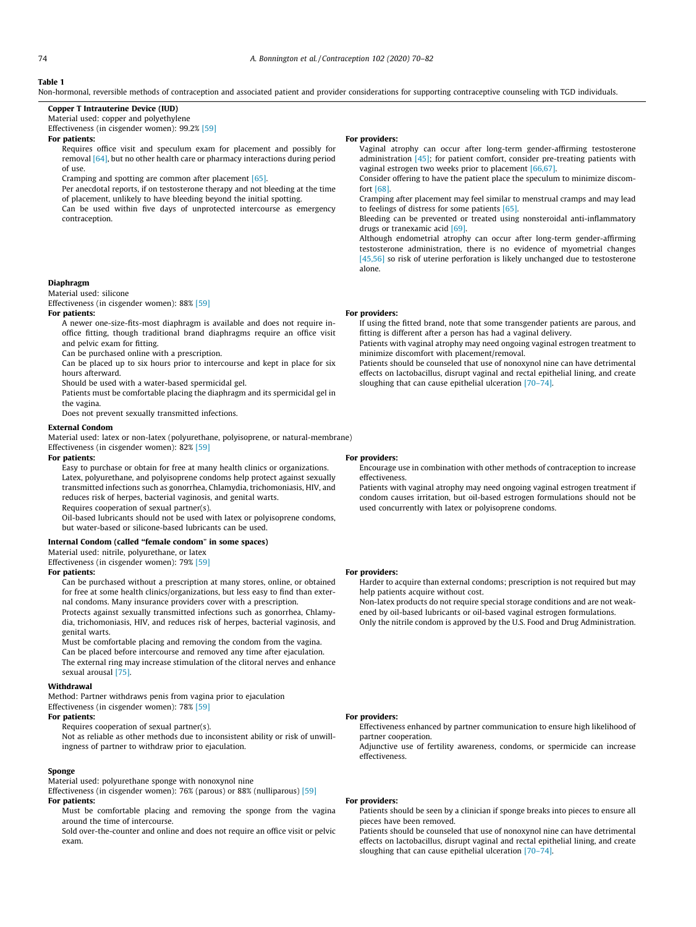<span id="page-4-0"></span>Non-hormonal, reversible methods of contraception and associated patient and provider considerations for supporting contraceptive counseling with TGD individuals.

#### Copper T Intrauterine Device (IUD)

Material used: copper and polyethylene

Effectiveness (in cisgender women): 99.2% [\[59\]](#page-11-0)

Requires office visit and speculum exam for placement and possibly for removal [\[64\],](#page-11-0) but no other health care or pharmacy interactions during period of use.

Cramping and spotting are common after placement [\[65\].](#page-11-0)

Per anecdotal reports, if on testosterone therapy and not bleeding at the time of placement, unlikely to have bleeding beyond the initial spotting.

Can be used within five days of unprotected intercourse as emergency contraception.

### Diaphragm

Material used: silicone

Effectiveness (in cisgender women): 88% [\[59\]](#page-11-0)

- A newer one-size-fits-most diaphragm is available and does not require inoffice fitting, though traditional brand diaphragms require an office visit and pelvic exam for fitting.
- Can be purchased online with a prescription.
- Can be placed up to six hours prior to intercourse and kept in place for six hours afterward.
- Should be used with a water-based spermicidal gel.
- Patients must be comfortable placing the diaphragm and its spermicidal gel in the vagina.

Does not prevent sexually transmitted infections.

#### External Condom

Material used: latex or non-latex (polyurethane, polyisoprene, or natural-membrane) Effectiveness (in cisgender women): 82% [\[59\]](#page-11-0)

- Easy to purchase or obtain for free at many health clinics or organizations. Latex, polyurethane, and polyisoprene condoms help protect against sexually transmitted infections such as gonorrhea, Chlamydia, trichomoniasis, HIV, and reduces risk of herpes, bacterial vaginosis, and genital warts.
- Requires cooperation of sexual partner(s).

Oil-based lubricants should not be used with latex or polyisoprene condoms, but water-based or silicone-based lubricants can be used.

#### Internal Condom (called ''female condom" in some spaces)

Material used: nitrile, polyurethane, or latex Effectiveness (in cisgender women): 79% [\[59\]](#page-11-0)

#### For patients: **For providers:** For providers:

Can be purchased without a prescription at many stores, online, or obtained for free at some health clinics/organizations, but less easy to find than external condoms. Many insurance providers cover with a prescription.

Protects against sexually transmitted infections such as gonorrhea, Chlamydia, trichomoniasis, HIV, and reduces risk of herpes, bacterial vaginosis, and genital warts.

Must be comfortable placing and removing the condom from the vagina. Can be placed before intercourse and removed any time after ejaculation. The external ring may increase stimulation of the clitoral nerves and enhance sexual arousal [\[75\]](#page-12-0).

### Withdrawal

Method: Partner withdraws penis from vagina prior to ejaculation

Effectiveness (in cisgender women): 78% [\[59\]](#page-11-0)

Requires cooperation of sexual partner(s).

Not as reliable as other methods due to inconsistent ability or risk of unwillingness of partner to withdraw prior to ejaculation.

### Sponge

Material used: polyurethane sponge with nonoxynol nine

Effectiveness (in cisgender women): 76% (parous) or 88% (nulliparous) [\[59\]](#page-11-0) For patients: For providers:

Must be comfortable placing and removing the sponge from the vagina around the time of intercourse.

Sold over-the-counter and online and does not require an office visit or pelvic exam.

### For patients: **For providers:** For providers:

Vaginal atrophy can occur after long-term gender-affirming testosterone administration [\[45\];](#page-11-0) for patient comfort, consider pre-treating patients with vaginal estrogen two weeks prior to placement [\[66,67\]](#page-11-0).

Consider offering to have the patient place the speculum to minimize discomfort [\[68\]](#page-11-0).

Cramping after placement may feel similar to menstrual cramps and may lead to feelings of distress for some patients [\[65\].](#page-11-0)

Bleeding can be prevented or treated using nonsteroidal anti-inflammatory drugs or tranexamic acid [\[69\]](#page-11-0).

Although endometrial atrophy can occur after long-term gender-affirming testosterone administration, there is no evidence of myometrial changes [\[45,56\]](#page-11-0) so risk of uterine perforation is likely unchanged due to testosterone alone.

# For patients: For providers: For providers: For providers: For providers: For providers: For providers: For providers: For providers: For providers: For providers: For providers: For providers: For providers: For providers

If using the fitted brand, note that some transgender patients are parous, and fitting is different after a person has had a vaginal delivery.

Patients with vaginal atrophy may need ongoing vaginal estrogen treatment to minimize discomfort with placement/removal.

Patients should be counseled that use of nonoxynol nine can have detrimental effects on lactobacillus, disrupt vaginal and rectal epithelial lining, and create sloughing that can cause epithelial ulceration [\[70–74\]](#page-11-0).

#### For patients: For providers: For providers: For providers: For providers: For providers: For providers: For providers: For providers: For providers: For providers: For providers: For providers: For providers: For providers

Encourage use in combination with other methods of contraception to increase effectiveness.

Patients with vaginal atrophy may need ongoing vaginal estrogen treatment if condom causes irritation, but oil-based estrogen formulations should not be used concurrently with latex or polyisoprene condoms.

Harder to acquire than external condoms; prescription is not required but may help patients acquire without cost.

Non-latex products do not require special storage conditions and are not weakened by oil-based lubricants or oil-based vaginal estrogen formulations. Only the nitrile condom is approved by the U.S. Food and Drug Administration.

### For patients: **For providers:** For providers:

Effectiveness enhanced by partner communication to ensure high likelihood of partner cooperation.

Adjunctive use of fertility awareness, condoms, or spermicide can increase effectiveness.

Patients should be seen by a clinician if sponge breaks into pieces to ensure all pieces have been removed.

Patients should be counseled that use of nonoxynol nine can have detrimental effects on lactobacillus, disrupt vaginal and rectal epithelial lining, and create sloughing that can cause epithelial ulceration [\[70–74\]](#page-11-0).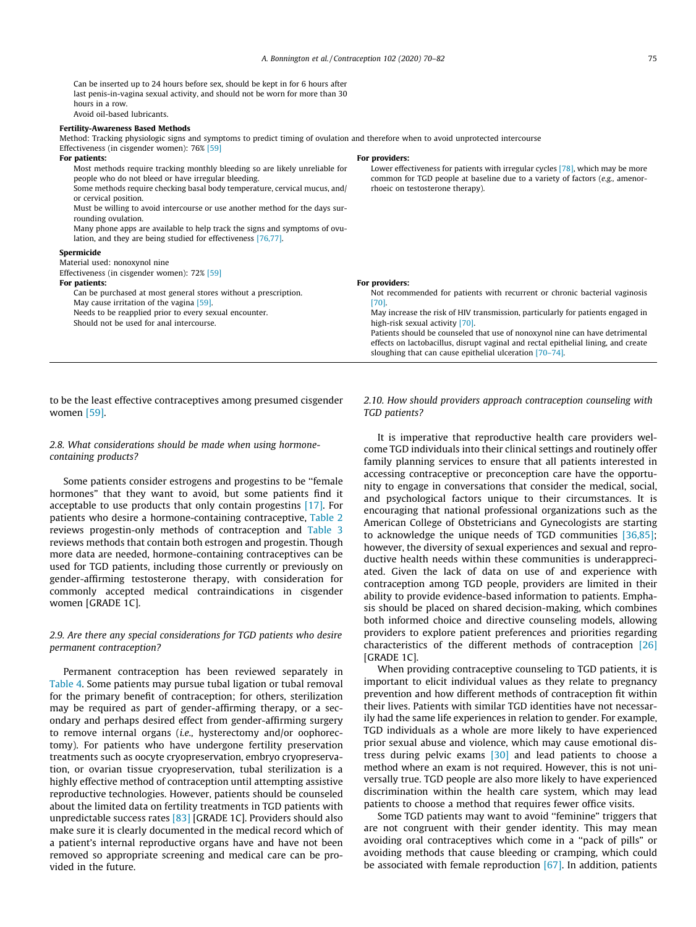Can be inserted up to 24 hours before sex, should be kept in for 6 hours after last penis-in-vagina sexual activity, and should not be worn for more than 30 hours in a row. Avoid oil-based lubricants.

#### Fertility-Awareness Based Methods

Method: Tracking physiologic signs and symptoms to predict timing of ovulation and therefore when to avoid unprotected intercourse Effectiveness (in cisgender women): 76% [\[59\]](#page-11-0)

#### For patients: **For patients:** For providers:

- Most methods require tracking monthly bleeding so are likely unreliable for people who do not bleed or have irregular bleeding.
- Some methods require checking basal body temperature, cervical mucus, and/ or cervical position.
- Must be willing to avoid intercourse or use another method for the days surrounding ovulation.
- Many phone apps are available to help track the signs and symptoms of ovulation, and they are being studied for effectiveness [\[76,77\]](#page-12-0).

#### Spermicide

Material used: nonoxynol nine

Effectiveness (in cisgender women): 72% [\[59\]](#page-11-0)

Can be purchased at most general stores without a prescription. May cause irritation of the vagina [\[59\].](#page-11-0)

Needs to be reapplied prior to every sexual encounter. Should not be used for anal intercourse.

rhoeic on testosterone therapy).

#### For patients: For providers: For providers: For providers: For providers: For providers: For providers: For providers: For providers: For providers: For providers: For providers: For providers: For providers: For providers

Not recommended for patients with recurrent or chronic bacterial vaginosis [\[70\].](#page-11-0) May increase the risk of HIV transmission, particularly for patients engaged in

Lower effectiveness for patients with irregular cycles [\[78\],](#page-12-0) which may be more common for TGD people at baseline due to a variety of factors (e.g., amenor-

high-risk sexual activity [\[70\]](#page-11-0). Patients should be counseled that use of nonoxynol nine can have detrimental

effects on lactobacillus, disrupt vaginal and rectal epithelial lining, and create sloughing that can cause epithelial ulceration [\[70–74\]](#page-11-0).

to be the least effective contraceptives among presumed cisgender women [\[59\]](#page-11-0).

# 2.8. What considerations should be made when using hormonecontaining products?

Some patients consider estrogens and progestins to be ''female hormones" that they want to avoid, but some patients find it acceptable to use products that only contain progestins [\[17\]](#page-11-0). For patients who desire a hormone-containing contraceptive, [Table 2](#page-6-0) reviews progestin-only methods of contraception and [Table 3](#page-7-0) reviews methods that contain both estrogen and progestin. Though more data are needed, hormone-containing contraceptives can be used for TGD patients, including those currently or previously on gender-affirming testosterone therapy, with consideration for commonly accepted medical contraindications in cisgender women [GRADE 1C].

# 2.9. Are there any special considerations for TGD patients who desire permanent contraception?

Permanent contraception has been reviewed separately in [Table 4](#page-8-0). Some patients may pursue tubal ligation or tubal removal for the primary benefit of contraception; for others, sterilization may be required as part of gender-affirming therapy, or a secondary and perhaps desired effect from gender-affirming surgery to remove internal organs (i.e., hysterectomy and/or oophorectomy). For patients who have undergone fertility preservation treatments such as oocyte cryopreservation, embryo cryopreservation, or ovarian tissue cryopreservation, tubal sterilization is a highly effective method of contraception until attempting assistive reproductive technologies. However, patients should be counseled about the limited data on fertility treatments in TGD patients with unpredictable success rates [\[83\]](#page-12-0) [GRADE 1C]. Providers should also make sure it is clearly documented in the medical record which of a patient's internal reproductive organs have and have not been removed so appropriate screening and medical care can be provided in the future.

# 2.10. How should providers approach contraception counseling with TGD patients?

It is imperative that reproductive health care providers welcome TGD individuals into their clinical settings and routinely offer family planning services to ensure that all patients interested in accessing contraceptive or preconception care have the opportunity to engage in conversations that consider the medical, social, and psychological factors unique to their circumstances. It is encouraging that national professional organizations such as the American College of Obstetricians and Gynecologists are starting to acknowledge the unique needs of TGD communities [\[36,85\];](#page-11-0) however, the diversity of sexual experiences and sexual and reproductive health needs within these communities is underappreciated. Given the lack of data on use of and experience with contraception among TGD people, providers are limited in their ability to provide evidence-based information to patients. Emphasis should be placed on shared decision-making, which combines both informed choice and directive counseling models, allowing providers to explore patient preferences and priorities regarding characteristics of the different methods of contraception [\[26\]](#page-11-0) [GRADE 1C].

When providing contraceptive counseling to TGD patients, it is important to elicit individual values as they relate to pregnancy prevention and how different methods of contraception fit within their lives. Patients with similar TGD identities have not necessarily had the same life experiences in relation to gender. For example, TGD individuals as a whole are more likely to have experienced prior sexual abuse and violence, which may cause emotional distress during pelvic exams [\[30\]](#page-11-0) and lead patients to choose a method where an exam is not required. However, this is not universally true. TGD people are also more likely to have experienced discrimination within the health care system, which may lead patients to choose a method that requires fewer office visits.

Some TGD patients may want to avoid ''feminine" triggers that are not congruent with their gender identity. This may mean avoiding oral contraceptives which come in a ''pack of pills" or avoiding methods that cause bleeding or cramping, which could be associated with female reproduction [\[67\].](#page-11-0) In addition, patients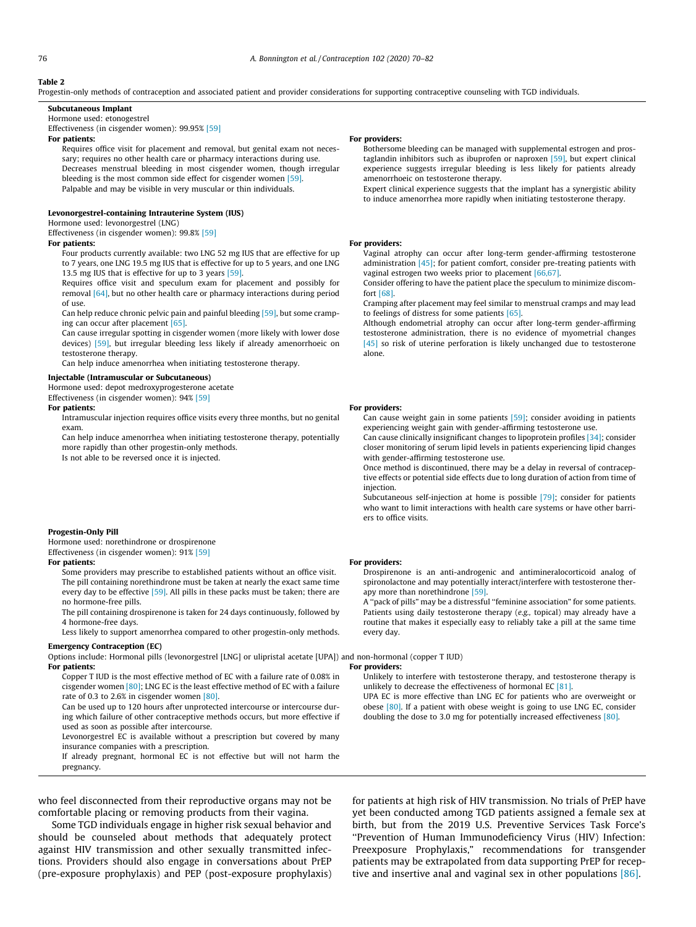<span id="page-6-0"></span>Progestin-only methods of contraception and associated patient and provider considerations for supporting contraceptive counseling with TGD individuals.

## Subcutaneous Implant

Hormone used: etonogestrel

Effectiveness (in cisgender women): 99.95% [\[59\]](#page-11-0)

Requires office visit for placement and removal, but genital exam not necessary; requires no other health care or pharmacy interactions during use. Decreases menstrual bleeding in most cisgender women, though irregular bleeding is the most common side effect for cisgender women [\[59\]](#page-11-0). Palpable and may be visible in very muscular or thin individuals.

### Levonorgestrel-containing Intrauterine System (IUS)

#### Hormone used: levonorgestrel (LNG)

Effectiveness (in cisgender women): 99.8% [\[59\]](#page-11-0)

Four products currently available: two LNG 52 mg IUS that are effective for up to 7 years, one LNG 19.5 mg IUS that is effective for up to 5 years, and one LNG 13.5 mg IUS that is effective for up to 3 years [\[59\].](#page-11-0)

Requires office visit and speculum exam for placement and possibly for removal [\[64\]](#page-11-0), but no other health care or pharmacy interactions during period of use.

Can help reduce chronic pelvic pain and painful bleeding [\[59\]](#page-11-0), but some cramping can occur after placement [\[65\].](#page-11-0)

Can cause irregular spotting in cisgender women (more likely with lower dose devices) [\[59\]](#page-11-0), but irregular bleeding less likely if already amenorrhoeic on testosterone therapy.

Can help induce amenorrhea when initiating testosterone therapy.

### Injectable (Intramuscular or Subcutaneous)

Hormone used: depot medroxyprogesterone acetate

Effectiveness (in cisgender women): 94% [\[59\]](#page-11-0)<br>For patients:

# Intramuscular injection requires office visits every three months, but no genital

exam.

Can help induce amenorrhea when initiating testosterone therapy, potentially more rapidly than other progestin-only methods.

Is not able to be reversed once it is injected.

### For patients: **For providers:** For providers:

Bothersome bleeding can be managed with supplemental estrogen and prostaglandin inhibitors such as ibuprofen or naproxen [\[59\],](#page-11-0) but expert clinical experience suggests irregular bleeding is less likely for patients already amenorrhoeic on testosterone therapy.

Expert clinical experience suggests that the implant has a synergistic ability to induce amenorrhea more rapidly when initiating testosterone therapy.

# For patients: For providers: For providers: For providers: For providers: For providers: For providers: For providers:  $\frac{1}{2}$

Vaginal atrophy can occur after long-term gender-affirming testosterone administration [\[45\];](#page-11-0) for patient comfort, consider pre-treating patients with vaginal estrogen two weeks prior to placement [\[66,67\].](#page-11-0)

Consider offering to have the patient place the speculum to minimize discomfort [\[68\].](#page-11-0)

Cramping after placement may feel similar to menstrual cramps and may lead to feelings of distress for some patients [\[65\]](#page-11-0).

Although endometrial atrophy can occur after long-term gender-affirming testosterone administration, there is no evidence of myometrial changes [\[45\]](#page-11-0) so risk of uterine perforation is likely unchanged due to testosterone alone.

### For providers:

Can cause weight gain in some patients [\[59\];](#page-11-0) consider avoiding in patients experiencing weight gain with gender-affirming testosterone use.

Can cause clinically insignificant changes to lipoprotein profiles [\[34\];](#page-11-0) consider closer monitoring of serum lipid levels in patients experiencing lipid changes with gender-affirming testosterone use.

Once method is discontinued, there may be a delay in reversal of contraceptive effects or potential side effects due to long duration of action from time of injection.

Subcutaneous self-injection at home is possible [\[79\];](#page-12-0) consider for patients who want to limit interactions with health care systems or have other barriers to office visits.

Drospirenone is an anti-androgenic and antimineralocorticoid analog of spironolactone and may potentially interact/interfere with testosterone therapy more than norethindrone [\[59\]](#page-11-0).

A ''pack of pills" may be a distressful ''feminine association" for some patients. Patients using daily testosterone therapy (e.g., topical) may already have a routine that makes it especially easy to reliably take a pill at the same time every day.

Unlikely to interfere with testosterone therapy, and testosterone therapy is

UPA EC is more effective than LNG EC for patients who are overweight or obese [\[80\]](#page-12-0). If a patient with obese weight is going to use LNG EC, consider doubling the dose to 3.0 mg for potentially increased effectiveness [\[80\]](#page-12-0).

unlikely to decrease the effectiveness of hormonal EC [\[81\]](#page-12-0).

### Progestin-Only Pill

Hormone used: norethindrone or drospirenone Effectiveness (in cisgender women): 91% [\[59\]](#page-11-0)

Some providers may prescribe to established patients without an office visit. The pill containing norethindrone must be taken at nearly the exact same time every day to be effective [\[59\]](#page-11-0). All pills in these packs must be taken; there are no hormone-free pills.

The pill containing drospirenone is taken for 24 days continuously, followed by 4 hormone-free days.

Less likely to support amenorrhea compared to other progestin-only methods.

### Emergency Contraception (EC)

Options include: Hormonal pills (levonorgestrel [LNG] or ulipristal acetate [UPA]) and non-hormonal (copper T IUD) For patients: **For providers:** For providers: **For providers: For providers: For providers:** 

Copper T IUD is the most effective method of EC with a failure rate of 0.08% in cisgender women [\[80\]](#page-12-0); LNG EC is the least effective method of EC with a failure rate of 0.3 to 2.6% in cisgender women [\[80\]](#page-12-0).

Can be used up to 120 hours after unprotected intercourse or intercourse during which failure of other contraceptive methods occurs, but more effective if used as soon as possible after intercourse.

Levonorgestrel EC is available without a prescription but covered by many insurance companies with a prescription.

If already pregnant, hormonal EC is not effective but will not harm the pregnancy.

who feel disconnected from their reproductive organs may not be comfortable placing or removing products from their vagina.

Some TGD individuals engage in higher risk sexual behavior and should be counseled about methods that adequately protect against HIV transmission and other sexually transmitted infections. Providers should also engage in conversations about PrEP (pre-exposure prophylaxis) and PEP (post-exposure prophylaxis) for patients at high risk of HIV transmission. No trials of PrEP have yet been conducted among TGD patients assigned a female sex at birth, but from the 2019 U.S. Preventive Services Task Force's ''Prevention of Human Immunodeficiency Virus (HIV) Infection: Preexposure Prophylaxis," recommendations for transgender patients may be extrapolated from data supporting PrEP for recep-tive and insertive anal and vaginal sex in other populations [\[86\].](#page-12-0)

For patients: **For providers:** For providers: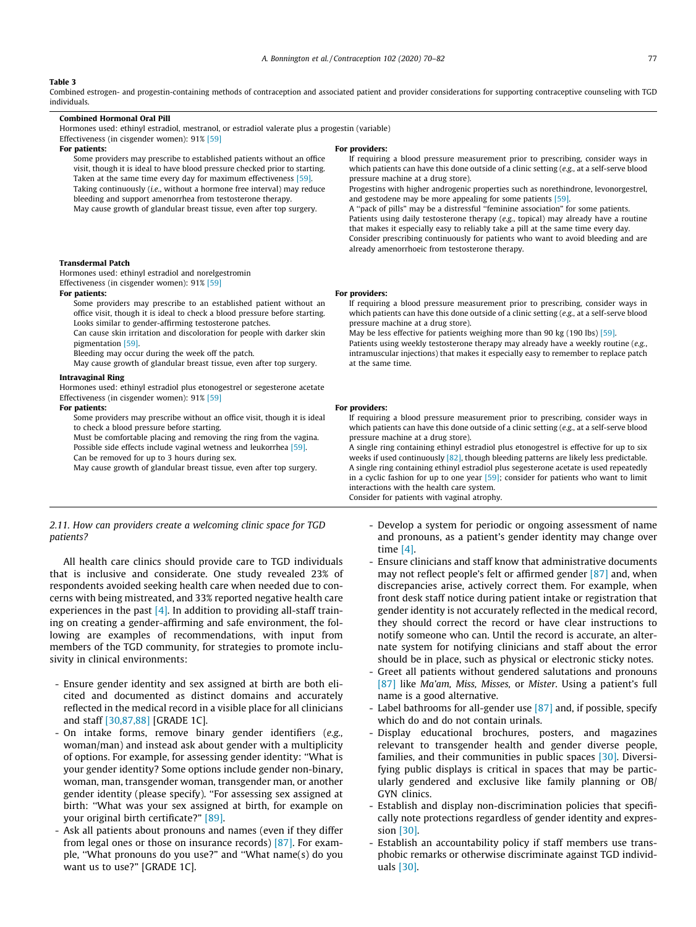<span id="page-7-0"></span>Combined estrogen- and progestin-containing methods of contraception and associated patient and provider considerations for supporting contraceptive counseling with TGD individuals.

| Hormones used: ethinyl estradiol, mestranol, or estradiol valerate plus a progestin (variable)                                                                                                                                                                                                                                                                                                                                                                                                                                                                                                                                                                                                                                                                                        |
|---------------------------------------------------------------------------------------------------------------------------------------------------------------------------------------------------------------------------------------------------------------------------------------------------------------------------------------------------------------------------------------------------------------------------------------------------------------------------------------------------------------------------------------------------------------------------------------------------------------------------------------------------------------------------------------------------------------------------------------------------------------------------------------|
|                                                                                                                                                                                                                                                                                                                                                                                                                                                                                                                                                                                                                                                                                                                                                                                       |
| For providers:                                                                                                                                                                                                                                                                                                                                                                                                                                                                                                                                                                                                                                                                                                                                                                        |
| If requiring a blood pressure measurement prior to prescribing, consider ways in<br>which patients can have this done outside of a clinic setting $(e.g.,$ at a self-serve blood<br>pressure machine at a drug store).<br>Progestins with higher androgenic properties such as norethindrone, levonorgestrel,<br>and gestodene may be more appealing for some patients [59].<br>A "pack of pills" may be a distressful "feminine association" for some patients.<br>Patients using daily testosterone therapy (e.g., topical) may already have a routine<br>that makes it especially easy to reliably take a pill at the same time every day.<br>Consider prescribing continuously for patients who want to avoid bleeding and are<br>already amenorrhoeic from testosterone therapy. |
|                                                                                                                                                                                                                                                                                                                                                                                                                                                                                                                                                                                                                                                                                                                                                                                       |
|                                                                                                                                                                                                                                                                                                                                                                                                                                                                                                                                                                                                                                                                                                                                                                                       |
| For providers:                                                                                                                                                                                                                                                                                                                                                                                                                                                                                                                                                                                                                                                                                                                                                                        |
| If requiring a blood pressure measurement prior to prescribing, consider ways in<br>which patients can have this done outside of a clinic setting $(e.g.,$ at a self-serve blood<br>pressure machine at a drug store).<br>May be less effective for patients weighing more than 90 kg (190 lbs) [59].<br>Patients using weekly testosterone therapy may already have a weekly routine (e.g.,<br>intramuscular injections) that makes it especially easy to remember to replace patch<br>at the same time.                                                                                                                                                                                                                                                                             |
|                                                                                                                                                                                                                                                                                                                                                                                                                                                                                                                                                                                                                                                                                                                                                                                       |
| For providers:<br>If requiring a blood pressure measurement prior to prescribing, consider ways in<br>which patients can have this done outside of a clinic setting $(e.g.,$ at a self-serve blood<br>pressure machine at a drug store).<br>A single ring containing ethinyl estradiol plus etonogestrel is effective for up to six<br>weeks if used continuously $[82]$ , though bleeding patterns are likely less predictable.<br>A single ring containing ethinyl estradiol plus segesterone acetate is used repeatedly<br>in a cyclic fashion for up to one year $[59]$ ; consider for patients who want to limit<br>interactions with the health care system.<br>Consider for patients with vaginal atrophy.                                                                     |
|                                                                                                                                                                                                                                                                                                                                                                                                                                                                                                                                                                                                                                                                                                                                                                                       |

# 2.11. How can providers create a welcoming clinic space for TGD patients?

All health care clinics should provide care to TGD individuals that is inclusive and considerate. One study revealed 23% of respondents avoided seeking health care when needed due to concerns with being mistreated, and 33% reported negative health care experiences in the past  $[4]$ . In addition to providing all-staff training on creating a gender-affirming and safe environment, the following are examples of recommendations, with input from members of the TGD community, for strategies to promote inclusivity in clinical environments:

- Ensure gender identity and sex assigned at birth are both elicited and documented as distinct domains and accurately reflected in the medical record in a visible place for all clinicians and staff [\[30,87,88\]](#page-11-0) [GRADE 1C].
- On intake forms, remove binary gender identifiers (e.g., woman/man) and instead ask about gender with a multiplicity of options. For example, for assessing gender identity: ''What is your gender identity? Some options include gender non-binary, woman, man, transgender woman, transgender man, or another gender identity (please specify). ''For assessing sex assigned at birth: ''What was your sex assigned at birth, for example on your original birth certificate?" [\[89\].](#page-12-0)
- Ask all patients about pronouns and names (even if they differ from legal ones or those on insurance records) [\[87\]](#page-12-0). For example, ''What pronouns do you use?" and ''What name(s) do you want us to use?" [GRADE 1C].
- Develop a system for periodic or ongoing assessment of name and pronouns, as a patient's gender identity may change over time [\[4\]](#page-10-0).
- Ensure clinicians and staff know that administrative documents may not reflect people's felt or affirmed gender [\[87\]](#page-12-0) and, when discrepancies arise, actively correct them. For example, when front desk staff notice during patient intake or registration that gender identity is not accurately reflected in the medical record, they should correct the record or have clear instructions to notify someone who can. Until the record is accurate, an alternate system for notifying clinicians and staff about the error should be in place, such as physical or electronic sticky notes.
- Greet all patients without gendered salutations and pronouns [\[87\]](#page-12-0) like Ma'am, Miss, Misses, or Mister. Using a patient's full name is a good alternative.
- Label bathrooms for all-gender use [\[87\]](#page-12-0) and, if possible, specify which do and do not contain urinals.
- Display educational brochures, posters, and magazines relevant to transgender health and gender diverse people, families, and their communities in public spaces [\[30\].](#page-11-0) Diversifying public displays is critical in spaces that may be particularly gendered and exclusive like family planning or OB/ GYN clinics.
- Establish and display non-discrimination policies that specifically note protections regardless of gender identity and expression [\[30\]](#page-11-0).
- Establish an accountability policy if staff members use transphobic remarks or otherwise discriminate against TGD individuals [\[30\].](#page-11-0)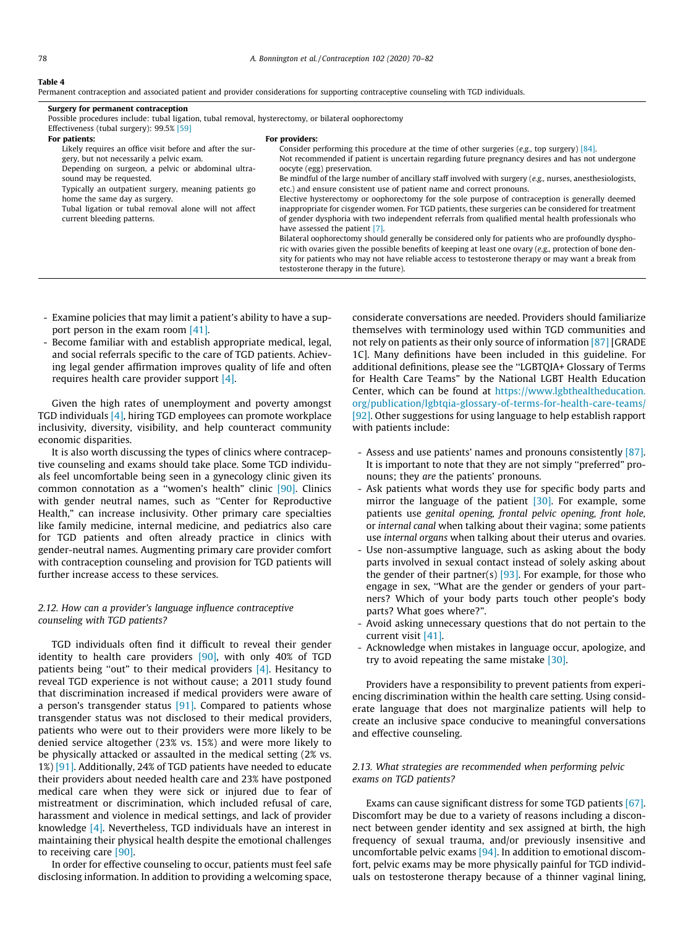<span id="page-8-0"></span>

| Permanent contraception and associated patient and provider considerations for supporting contraceptive counseling with TGD individuals. |  |  |  |
|------------------------------------------------------------------------------------------------------------------------------------------|--|--|--|
|                                                                                                                                          |  |  |  |

#### Surgery for permanent contraception

| Possible procedures include: tubal ligation, tubal removal, hysterectomy, or bilateral oophorectomy                                                                                                                                                                                                                                                                    |                                                                                                                                                                                                                                                                                                                                                                                                                                                                                                                                                                                                                                                                                                                                                                                                                                                                                                                                                                                                                                                                                                                                            |
|------------------------------------------------------------------------------------------------------------------------------------------------------------------------------------------------------------------------------------------------------------------------------------------------------------------------------------------------------------------------|--------------------------------------------------------------------------------------------------------------------------------------------------------------------------------------------------------------------------------------------------------------------------------------------------------------------------------------------------------------------------------------------------------------------------------------------------------------------------------------------------------------------------------------------------------------------------------------------------------------------------------------------------------------------------------------------------------------------------------------------------------------------------------------------------------------------------------------------------------------------------------------------------------------------------------------------------------------------------------------------------------------------------------------------------------------------------------------------------------------------------------------------|
| Effectiveness (tubal surgery): 99.5% [59]                                                                                                                                                                                                                                                                                                                              |                                                                                                                                                                                                                                                                                                                                                                                                                                                                                                                                                                                                                                                                                                                                                                                                                                                                                                                                                                                                                                                                                                                                            |
| For patients:                                                                                                                                                                                                                                                                                                                                                          | For providers:                                                                                                                                                                                                                                                                                                                                                                                                                                                                                                                                                                                                                                                                                                                                                                                                                                                                                                                                                                                                                                                                                                                             |
| Likely requires an office visit before and after the sur-<br>gery, but not necessarily a pelvic exam.<br>Depending on surgeon, a pelvic or abdominal ultra-<br>sound may be requested.<br>Typically an outpatient surgery, meaning patients go<br>home the same day as surgery.<br>Tubal ligation or tubal removal alone will not affect<br>current bleeding patterns. | Consider performing this procedure at the time of other surgeries (e.g., top surgery) [84].<br>Not recommended if patient is uncertain regarding future pregnancy desires and has not undergone<br>oocyte (egg) preservation.<br>Be mindful of the large number of ancillary staff involved with surgery ( $e.g.,$ nurses, anesthesiologists,<br>etc.) and ensure consistent use of patient name and correct pronouns.<br>Elective hysterectomy or oophorectomy for the sole purpose of contraception is generally deemed<br>inappropriate for cisgender women. For TGD patients, these surgeries can be considered for treatment<br>of gender dysphoria with two independent referrals from qualified mental health professionals who<br>have assessed the patient [7].<br>Bilateral oophorectomy should generally be considered only for patients who are profoundly dyspho-<br>ric with ovaries given the possible benefits of keeping at least one ovary (e.g., protection of bone den-<br>sity for patients who may not have reliable access to testosterone therapy or may want a break from<br>testosterone therapy in the future). |
|                                                                                                                                                                                                                                                                                                                                                                        |                                                                                                                                                                                                                                                                                                                                                                                                                                                                                                                                                                                                                                                                                                                                                                                                                                                                                                                                                                                                                                                                                                                                            |
|                                                                                                                                                                                                                                                                                                                                                                        |                                                                                                                                                                                                                                                                                                                                                                                                                                                                                                                                                                                                                                                                                                                                                                                                                                                                                                                                                                                                                                                                                                                                            |

- Examine policies that may limit a patient's ability to have a support person in the exam room [\[41\].](#page-11-0)
- Become familiar with and establish appropriate medical, legal, and social referrals specific to the care of TGD patients. Achieving legal gender affirmation improves quality of life and often requires health care provider support [\[4\].](#page-10-0)

Given the high rates of unemployment and poverty amongst TGD individuals [\[4\],](#page-10-0) hiring TGD employees can promote workplace inclusivity, diversity, visibility, and help counteract community economic disparities.

It is also worth discussing the types of clinics where contraceptive counseling and exams should take place. Some TGD individuals feel uncomfortable being seen in a gynecology clinic given its common connotation as a ''women's health" clinic [\[90\].](#page-12-0) Clinics with gender neutral names, such as ''Center for Reproductive Health," can increase inclusivity. Other primary care specialties like family medicine, internal medicine, and pediatrics also care for TGD patients and often already practice in clinics with gender-neutral names. Augmenting primary care provider comfort with contraception counseling and provision for TGD patients will further increase access to these services.

# 2.12. How can a provider's language influence contraceptive counseling with TGD patients?

TGD individuals often find it difficult to reveal their gender identity to health care providers [\[90\]](#page-12-0), with only 40% of TGD patients being "out" to their medical providers  $[4]$ . Hesitancy to reveal TGD experience is not without cause; a 2011 study found that discrimination increased if medical providers were aware of a person's transgender status  $[91]$ . Compared to patients whose transgender status was not disclosed to their medical providers, patients who were out to their providers were more likely to be denied service altogether (23% vs. 15%) and were more likely to be physically attacked or assaulted in the medical setting (2% vs. 1%) [\[91\]](#page-12-0). Additionally, 24% of TGD patients have needed to educate their providers about needed health care and 23% have postponed medical care when they were sick or injured due to fear of mistreatment or discrimination, which included refusal of care, harassment and violence in medical settings, and lack of provider knowledge [\[4\].](#page-10-0) Nevertheless, TGD individuals have an interest in maintaining their physical health despite the emotional challenges to receiving care [\[90\].](#page-12-0)

In order for effective counseling to occur, patients must feel safe disclosing information. In addition to providing a welcoming space, considerate conversations are needed. Providers should familiarize themselves with terminology used within TGD communities and not rely on patients as their only source of information [\[87\]](#page-12-0) [GRADE 1C]. Many definitions have been included in this guideline. For additional definitions, please see the ''LGBTQIA+ Glossary of Terms for Health Care Teams" by the National LGBT Health Education Center, which can be found at [https://www.lgbthealtheducation.](https://www.lgbthealtheducation.org/publication/lgbtqia-glossary-of-terms-for-health-care-teams/) [org/publication/lgbtqia-glossary-of-terms-for-health-care-teams/](https://www.lgbthealtheducation.org/publication/lgbtqia-glossary-of-terms-for-health-care-teams/) [\[92\]](#page-12-0). Other suggestions for using language to help establish rapport with patients include:

- Assess and use patients' names and pronouns consistently [\[87\].](#page-12-0) It is important to note that they are not simply ''preferred" pronouns; they are the patients' pronouns.
- Ask patients what words they use for specific body parts and mirror the language of the patient [\[30\].](#page-11-0) For example, some patients use genital opening, frontal pelvic opening, front hole, or internal canal when talking about their vagina; some patients use internal organs when talking about their uterus and ovaries.
- Use non-assumptive language, such as asking about the body parts involved in sexual contact instead of solely asking about the gender of their partner(s)  $[93]$ . For example, for those who engage in sex, ''What are the gender or genders of your partners? Which of your body parts touch other people's body parts? What goes where?".
- Avoid asking unnecessary questions that do not pertain to the current visit [\[41\]](#page-11-0).
- Acknowledge when mistakes in language occur, apologize, and try to avoid repeating the same mistake [\[30\]](#page-11-0).

Providers have a responsibility to prevent patients from experiencing discrimination within the health care setting. Using considerate language that does not marginalize patients will help to create an inclusive space conducive to meaningful conversations and effective counseling.

# 2.13. What strategies are recommended when performing pelvic exams on TGD patients?

Exams can cause significant distress for some TGD patients [\[67\].](#page-11-0) Discomfort may be due to a variety of reasons including a disconnect between gender identity and sex assigned at birth, the high frequency of sexual trauma, and/or previously insensitive and uncomfortable pelvic exams [\[94\]](#page-12-0). In addition to emotional discomfort, pelvic exams may be more physically painful for TGD individuals on testosterone therapy because of a thinner vaginal lining,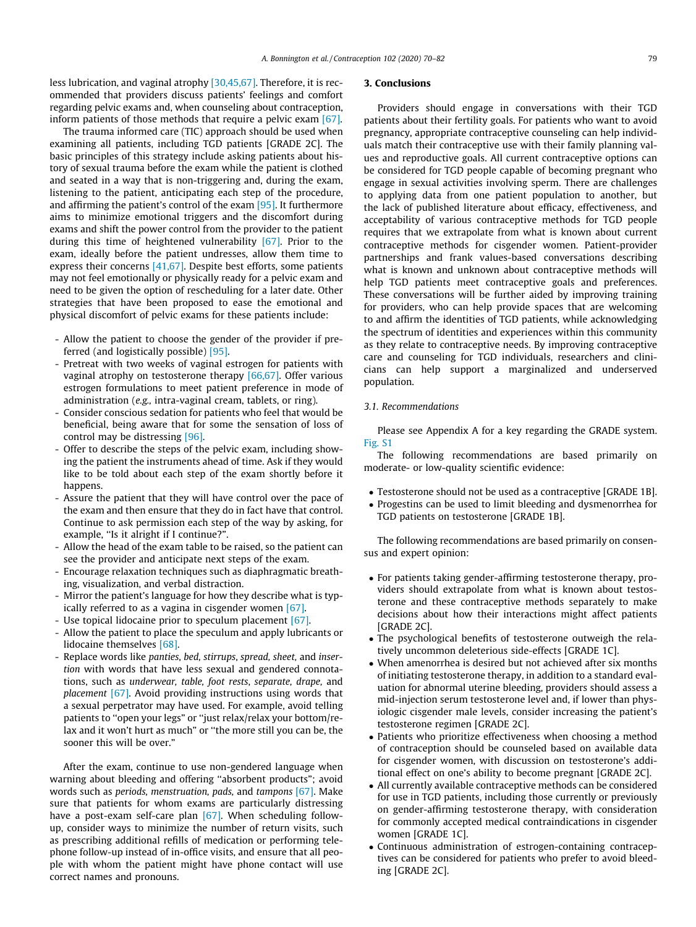less lubrication, and vaginal atrophy [\[30,45,67\].](#page-11-0) Therefore, it is recommended that providers discuss patients' feelings and comfort regarding pelvic exams and, when counseling about contraception, inform patients of those methods that require a pelvic exam [\[67\]](#page-11-0).

The trauma informed care (TIC) approach should be used when examining all patients, including TGD patients [GRADE 2C]. The basic principles of this strategy include asking patients about history of sexual trauma before the exam while the patient is clothed and seated in a way that is non-triggering and, during the exam, listening to the patient, anticipating each step of the procedure, and affirming the patient's control of the exam [\[95\].](#page-12-0) It furthermore aims to minimize emotional triggers and the discomfort during exams and shift the power control from the provider to the patient during this time of heightened vulnerability [\[67\].](#page-11-0) Prior to the exam, ideally before the patient undresses, allow them time to express their concerns [\[41,67\]](#page-11-0). Despite best efforts, some patients may not feel emotionally or physically ready for a pelvic exam and need to be given the option of rescheduling for a later date. Other strategies that have been proposed to ease the emotional and physical discomfort of pelvic exams for these patients include:

- Allow the patient to choose the gender of the provider if preferred (and logistically possible) [\[95\].](#page-12-0)
- Pretreat with two weeks of vaginal estrogen for patients with vaginal atrophy on testosterone therapy  $[66,67]$ . Offer various estrogen formulations to meet patient preference in mode of administration (e.g., intra-vaginal cream, tablets, or ring).
- Consider conscious sedation for patients who feel that would be beneficial, being aware that for some the sensation of loss of control may be distressing [\[96\].](#page-12-0)
- Offer to describe the steps of the pelvic exam, including showing the patient the instruments ahead of time. Ask if they would like to be told about each step of the exam shortly before it happens.
- Assure the patient that they will have control over the pace of the exam and then ensure that they do in fact have that control. Continue to ask permission each step of the way by asking, for example, ''Is it alright if I continue?".
- Allow the head of the exam table to be raised, so the patient can see the provider and anticipate next steps of the exam.
- Encourage relaxation techniques such as diaphragmatic breathing, visualization, and verbal distraction.
- Mirror the patient's language for how they describe what is typically referred to as a vagina in cisgender women [\[67\].](#page-11-0)
- Use topical lidocaine prior to speculum placement [\[67\]](#page-11-0).
- Allow the patient to place the speculum and apply lubricants or lidocaine themselves [\[68\].](#page-11-0)
- Replace words like panties, bed, stirrups, spread, sheet, and insertion with words that have less sexual and gendered connotations, such as underwear, table, foot rests, separate, drape, and placement  $[67]$ . Avoid providing instructions using words that a sexual perpetrator may have used. For example, avoid telling patients to "open your legs" or "just relax/relax your bottom/relax and it won't hurt as much" or ''the more still you can be, the sooner this will be over."

After the exam, continue to use non-gendered language when warning about bleeding and offering "absorbent products"; avoid words such as periods, menstruation, pads, and tampons [\[67\]](#page-11-0). Make sure that patients for whom exams are particularly distressing have a post-exam self-care plan [\[67\].](#page-11-0) When scheduling followup, consider ways to minimize the number of return visits, such as prescribing additional refills of medication or performing telephone follow-up instead of in-office visits, and ensure that all people with whom the patient might have phone contact will use correct names and pronouns.

# 3. Conclusions

Providers should engage in conversations with their TGD patients about their fertility goals. For patients who want to avoid pregnancy, appropriate contraceptive counseling can help individuals match their contraceptive use with their family planning values and reproductive goals. All current contraceptive options can be considered for TGD people capable of becoming pregnant who engage in sexual activities involving sperm. There are challenges to applying data from one patient population to another, but the lack of published literature about efficacy, effectiveness, and acceptability of various contraceptive methods for TGD people requires that we extrapolate from what is known about current contraceptive methods for cisgender women. Patient-provider partnerships and frank values-based conversations describing what is known and unknown about contraceptive methods will help TGD patients meet contraceptive goals and preferences. These conversations will be further aided by improving training for providers, who can help provide spaces that are welcoming to and affirm the identities of TGD patients, while acknowledging the spectrum of identities and experiences within this community as they relate to contraceptive needs. By improving contraceptive care and counseling for TGD individuals, researchers and clinicians can help support a marginalized and underserved population.

# 3.1. Recommendations

Please see Appendix A for a key regarding the GRADE system. [Fig. S1](#page-10-0)

The following recommendations are based primarily on moderate- or low-quality scientific evidence:

- Testosterone should not be used as a contraceptive [GRADE 1B].
- Progestins can be used to limit bleeding and dysmenorrhea for TGD patients on testosterone [GRADE 1B].

The following recommendations are based primarily on consensus and expert opinion:

- For patients taking gender-affirming testosterone therapy, providers should extrapolate from what is known about testosterone and these contraceptive methods separately to make decisions about how their interactions might affect patients [GRADE 2C].
- The psychological benefits of testosterone outweigh the relatively uncommon deleterious side-effects [GRADE 1C].
- When amenorrhea is desired but not achieved after six months of initiating testosterone therapy, in addition to a standard evaluation for abnormal uterine bleeding, providers should assess a mid-injection serum testosterone level and, if lower than physiologic cisgender male levels, consider increasing the patient's testosterone regimen [GRADE 2C].
- Patients who prioritize effectiveness when choosing a method of contraception should be counseled based on available data for cisgender women, with discussion on testosterone's additional effect on one's ability to become pregnant [GRADE 2C].
- All currently available contraceptive methods can be considered for use in TGD patients, including those currently or previously on gender-affirming testosterone therapy, with consideration for commonly accepted medical contraindications in cisgender women [GRADE 1C].
- Continuous administration of estrogen-containing contraceptives can be considered for patients who prefer to avoid bleeding [GRADE 2C].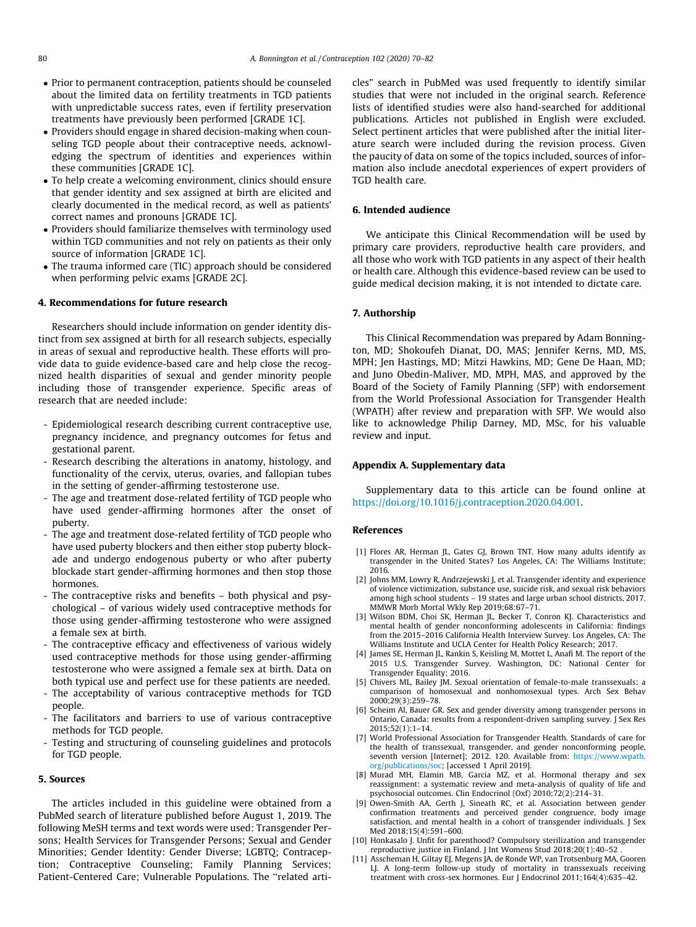- <span id="page-10-0"></span> Prior to permanent contraception, patients should be counseled about the limited data on fertility treatments in TGD patients with unpredictable success rates, even if fertility preservation treatments have previously been performed [GRADE 1C].
- Providers should engage in shared decision-making when counseling TGD people about their contraceptive needs, acknowledging the spectrum of identities and experiences within these communities [GRADE 1C].
- To help create a welcoming environment, clinics should ensure that gender identity and sex assigned at birth are elicited and clearly documented in the medical record, as well as patients' correct names and pronouns [GRADE 1C].
- Providers should familiarize themselves with terminology used within TGD communities and not rely on patients as their only source of information [GRADE 1C].
- The trauma informed care (TIC) approach should be considered when performing pelvic exams [GRADE 2C].

## 4. Recommendations for future research

Researchers should include information on gender identity distinct from sex assigned at birth for all research subjects, especially in areas of sexual and reproductive health. These efforts will provide data to guide evidence-based care and help close the recognized health disparities of sexual and gender minority people including those of transgender experience. Specific areas of research that are needed include:

- Epidemiological research describing current contraceptive use, pregnancy incidence, and pregnancy outcomes for fetus and gestational parent.
- Research describing the alterations in anatomy, histology, and functionality of the cervix, uterus, ovaries, and fallopian tubes in the setting of gender-affirming testosterone use.
- The age and treatment dose-related fertility of TGD people who have used gender-affirming hormones after the onset of puberty.
- The age and treatment dose-related fertility of TGD people who have used puberty blockers and then either stop puberty blockade and undergo endogenous puberty or who after puberty blockade start gender-affirming hormones and then stop those hormones.
- The contraceptive risks and benefits both physical and psychological – of various widely used contraceptive methods for those using gender-affirming testosterone who were assigned a female sex at birth.
- The contraceptive efficacy and effectiveness of various widely used contraceptive methods for those using gender-affirming testosterone who were assigned a female sex at birth. Data on both typical use and perfect use for these patients are needed.
- The acceptability of various contraceptive methods for TGD people.
- The facilitators and barriers to use of various contraceptive methods for TGD people.
- Testing and structuring of counseling guidelines and protocols for TGD people.

## 5. Sources

The articles included in this guideline were obtained from a PubMed search of literature published before August 1, 2019. The following MeSH terms and text words were used: Transgender Persons; Health Services for Transgender Persons; Sexual and Gender Minorities; Gender Identity: Gender Diverse; LGBTQ; Contraception; Contraceptive Counseling; Family Planning Services; Patient-Centered Care; Vulnerable Populations. The ''related articles" search in PubMed was used frequently to identify similar studies that were not included in the original search. Reference lists of identified studies were also hand-searched for additional publications. Articles not published in English were excluded. Select pertinent articles that were published after the initial literature search were included during the revision process. Given the paucity of data on some of the topics included, sources of information also include anecdotal experiences of expert providers of TGD health care.

# 6. Intended audience

We anticipate this Clinical Recommendation will be used by primary care providers, reproductive health care providers, and all those who work with TGD patients in any aspect of their health or health care. Although this evidence-based review can be used to guide medical decision making, it is not intended to dictate care.

# 7. Authorship

This Clinical Recommendation was prepared by Adam Bonnington, MD; Shokoufeh Dianat, DO, MAS; Jennifer Kerns, MD, MS, MPH; Jen Hastings, MD; Mitzi Hawkins, MD; Gene De Haan, MD; and Juno Obedin-Maliver, MD, MPH, MAS, and approved by the Board of the Society of Family Planning (SFP) with endorsement from the World Professional Association for Transgender Health (WPATH) after review and preparation with SFP. We would also like to acknowledge Philip Darney, MD, MSc, for his valuable review and input.

# Appendix A. Supplementary data

Supplementary data to this article can be found online at <https://doi.org/10.1016/j.contraception.2020.04.001>.

## References

- [1] Flores AR, Herman JL, Gates GJ, Brown TNT. How many adults identify as transgender in the United States? Los Angeles, CA: The Williams Institute; 2016.
- [2] Johns MM, Lowry R, Andrzejewski J, et al. Transgender identity and experience of violence victimization, substance use, suicide risk, and sexual risk behaviors among high school students – 19 states and large urban school districts, 2017. MMWR Morb Mortal Wkly Rep 2019;68:67–71.
- [3] Wilson BDM, Choi SK, Herman JL, Becker T, Conron KJ. Characteristics and mental health of gender nonconforming adolescents in California: findings from the 2015–2016 California Health Interview Survey. Los Angeles, CA: The Williams Institute and UCLA Center for Health Policy Research; 2017.
- [4] James SE, Herman JL, Rankin S, Keisling M, Mottet L, Anafi M. The report of the 2015 U.S. Transgender Survey. Washington, DC: National Center for Transgender Equality; 2016.
- [5] Chivers ML, Bailey JM. Sexual orientation of female-to-male transsexuals: a comparison of homosexual and nonhomosexual types. Arch Sex Behav 2000;29(3):259–78.
- [6] Scheim AI, Bauer GR. Sex and gender diversity among transgender persons in Ontario, Canada: results from a respondent-driven sampling survey. J Sex Res 2015;52(1):1–14.
- [7] World Professional Association for Transgender Health. Standards of care for the health of transsexual, transgender, and gender nonconforming people, seventh version [Internet]; 2012. 120. Available from: [https://www.wpath.](https://www.wpath.org/publications/soc) [org/publications/soc](https://www.wpath.org/publications/soc); [accessed 1 April 2019].
- [8] Murad MH, Elamin MB, Garcia MZ, et al. Hormonal therapy and sex reassignment: a systematic review and meta-analysis of quality of life and psychosocial outcomes. Clin Endocrinol (Oxf) 2010;72(2):214–31.
- [9] Owen-Smith AA, Gerth J, Sineath RC, et al. Association between gender confirmation treatments and perceived gender congruence, body image satisfaction, and mental health in a cohort of transgender individuals. J Sex Med 2018;15(4):591–600.
- [10] Honkasalo J. Unfit for parenthood? Compulsory sterilization and transgender reproductive justice in Finland. J Int Womens Stud 2018;20(1):40–52 .
- [11] Asscheman H, Giltay EJ, Megens JA, de Ronde WP, van Trotsenburg MA, Gooren LJ. A long-term follow-up study of mortality in transsexuals receiving treatment with cross-sex hormones. Eur J Endocrinol 2011;164(4):635–42.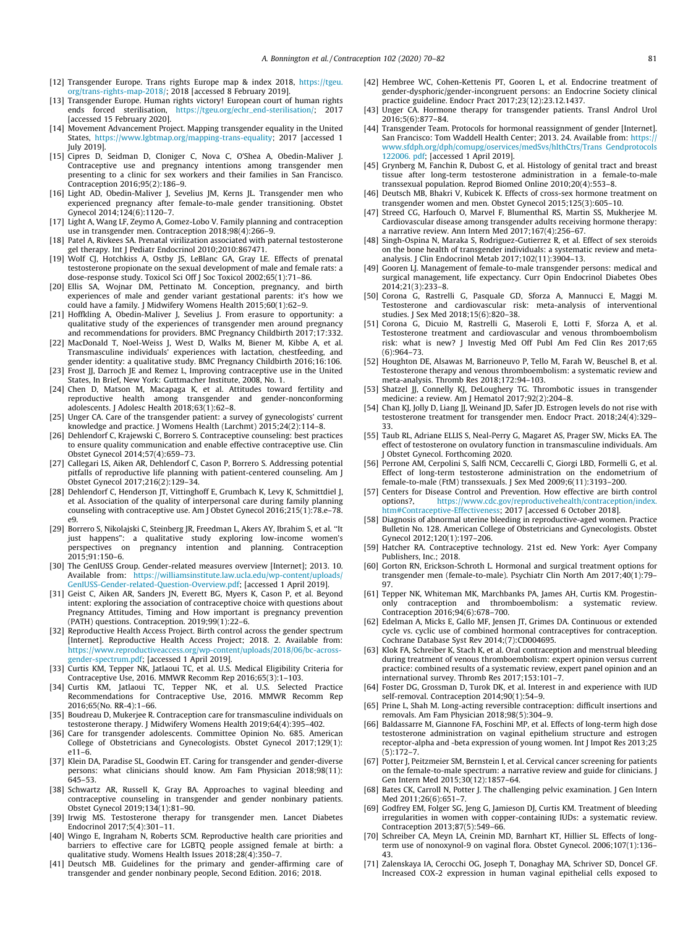- <span id="page-11-0"></span>[12] Transgender Europe. Trans rights Europe map & index 2018, [https://tgeu.](https://tgeu.org/trans-rights-map-2018/) [org/trans-rights-map-2018/](https://tgeu.org/trans-rights-map-2018/); 2018 [accessed 8 February 2019].
- [13] Transgender Europe. Human rights victory! European court of human rights ends forced sterilisation, [https://tgeu.org/echr\\_end-sterilisation/;](https://tgeu.org/echr_end-sterilisation/) 2017 [accessed 15 February 2020].
- [14] Movement Advancement Project. Mapping transgender equality in the United States, <https://www.lgbtmap.org/mapping-trans-equality>; 2017 [accessed 1 July 2019].
- [15] Cipres D, Seidman D, Cloniger C, Nova C, O'Shea A, Obedin-Maliver J. Contraceptive use and pregnancy intentions among transgender men presenting to a clinic for sex workers and their families in San Francisco. Contraception 2016;95(2):186–9.
- [16] Light AD, Obedin-Maliver J, Sevelius JM, Kerns JL. Transgender men who experienced pregnancy after female-to-male gender transitioning. Obstet Gynecol 2014;124(6):1120–7.
- [17] Light A, Wang LF, Zeymo A, Gomez-Lobo V. Family planning and contraception use in transgender men. Contraception 2018;98(4):266–9.
- [18] Patel A, Rivkees SA. Prenatal virilization associated with paternal testosterone gel therapy. Int J Pediatr Endocrinol 2010;2010:867471.
- [19] Wolf CJ, Hotchkiss A, Ostby JS, LeBlanc GA, Gray LE. Effects of prenatal testosterone propionate on the sexual development of male and female rats: a dose-response study. Toxicol Sci Off J Soc Toxicol 2002;65(1):71–86.
- [20] Ellis SA, Wojnar DM, Pettinato M. Conception, pregnancy, and birth experiences of male and gender variant gestational parents: it's how we could have a family. J Midwifery Womens Health 2015;60(1):62–9.
- [21] Hoffkling A, Obedin-Maliver J, Sevelius J. From erasure to opportunity: a qualitative study of the experiences of transgender men around pregnancy and recommendations for providers. BMC Pregnancy Childbirth 2017;17:332.
- [22] MacDonald T, Noel-Weiss J, West D, Walks M, Biener M, Kibbe A, et al. Transmasculine individuals' experiences with lactation, chestfeeding, and gender identity: a qualitative study. BMC Pregnancy Childbirth 2016;16:106.
- [23] Frost JJ, Darroch JE and Remez L, Improving contraceptive use in the United States, In Brief, New York: Guttmacher Institute, 2008, No. 1.
- [24] Chen D, Matson M, Macapaga K, et al. Attitudes toward fertility and reproductive health among transgender and gender-nonconforming adolescents. J Adolesc Health 2018;63(1):62–8.
- [25] Unger CA. Care of the transgender patient: a survey of gynecologists' current knowledge and practice. J Womens Health (Larchmt) 2015;24(2):114–8.
- [26] Dehlendorf C, Krajewski C, Borrero S. Contraceptive counseling: best practices to ensure quality communication and enable effective contraceptive use. Clin Obstet Gynecol 2014;57(4):659–73.
- [27] Callegari LS, Aiken AR, Dehlendorf C, Cason P, Borrero S. Addressing potential pitfalls of reproductive life planning with patient-centered counseling. Am J Obstet Gynecol 2017;216(2):129–34.
- [28] Dehlendorf C, Henderson JT, Vittinghoff E, Grumbach K, Levy K, Schmittdiel J, et al. Association of the quality of interpersonal care during family planning counseling with contraceptive use. Am J Obstet Gynecol 2016;215(1):78.e–78. e9.
- [29] Borrero S, Nikolajski C, Steinberg JR, Freedman L, Akers AY, Ibrahim S, et al. ''It just happens": a qualitative study exploring low-income women's perspectives on pregnancy intention and planning. Contraception 2015;91:150–6.
- [30] The GenIUSS Group. Gender-related measures overview [Internet]; 2013. 10. Available from: [https://williamsinstitute.law.ucla.edu/wp-content/uploads/](https://williamsinstitute.law.ucla.edu/wp-content/uploads/GenIUSS-Gender-related-Question-Overview.pdf) [GenIUSS-Gender-related-Question-Overview.pdf;](https://williamsinstitute.law.ucla.edu/wp-content/uploads/GenIUSS-Gender-related-Question-Overview.pdf) [accessed 1 April 2019].
- [31] Geist C, Aiken AR, Sanders JN, Everett BG, Myers K, Cason P, et al. Beyond intent: exploring the association of contraceptive choice with questions about Pregnancy Attitudes, Timing and How important is pregnancy prevention (PATH) questions. Contraception. 2019;99(1):22–6.
- [32] Reproductive Health Access Project. Birth control across the gender spectrum [Internet]. Reproductive Health Access Project; 2018. 2. Available from: [https://www.reproductiveaccess.org/wp-content/uploads/2018/06/bc-across](https://www.reproductiveaccess.org/wp-content/uploads/2018/06/bc-across-gender-spectrum.pdf)[gender-spectrum.pdf;](https://www.reproductiveaccess.org/wp-content/uploads/2018/06/bc-across-gender-spectrum.pdf) [accessed 1 April 2019].
- [33] Curtis KM, Tepper NK, Jatlaoui TC, et al. U.S. Medical Eligibility Criteria for Contraceptive Use, 2016. MMWR Recomm Rep 2016;65(3):1–103.
- [34] Curtis KM, Jatlaoui TC, Tepper NK, et al. U.S. Selected Practice Recommendations for Contraceptive Use, 2016. MMWR Recomm Rep 2016;65(No. RR-4):1–66.
- [35] Boudreau D, Mukerjee R. Contraception care for transmasculine individuals on testosterone therapy. J Midwifery Womens Health 2019;64(4):395–402.
- [36] Care for transgender adolescents. Committee Opinion No. 685. American College of Obstetricians and Gynecologists. Obstet Gynecol 2017;129(1): e11–6.
- [37] Klein DA, Paradise SL, Goodwin ET. Caring for transgender and gender-diverse persons: what clinicians should know. Am Fam Physician 2018;98(11): 645–53.
- [38] Schwartz AR, Russell K, Gray BA. Approaches to vaginal bleeding and contraceptive counseling in transgender and gender nonbinary patients. Obstet Gynecol 2019;134(1):81–90.
- [39] Irwig MS. Testosterone therapy for transgender men. Lancet Diabetes Endocrinol 2017;5(4):301–11.
- [40] Wingo E, Ingraham N, Roberts SCM. Reproductive health care priorities and barriers to effective care for LGBTQ people assigned female at birth: a qualitative study. Womens Health Issues 2018;28(4):350–7.
- [41] Deutsch MB. Guidelines for the primary and gender-affirming care of transgender and gender nonbinary people, Second Edition. 2016; 2018.
- [42] Hembree WC, Cohen-Kettenis PT, Gooren L, et al. Endocrine treatment of gender-dysphoric/gender-incongruent persons: an Endocrine Society clinical practice guideline. Endocr Pract 2017;23(12):23.12.1437.
- [43] Unger CA. Hormone therapy for transgender patients. Transl Androl Urol 2016;5(6):877–84.
- [44] Transgender Team. Protocols for hormonal reassignment of gender [Internet]. San Francisco: Tom Waddell Health Center; 2013. 24. Available from: [https://](https://www.sfdph.org/dph/comupg/oservices/medSvs/hlthCtrs/TransGendprotocols122006.pdf) [www.sfdph.org/dph/comupg/oservices/medSvs/hlthCtrs/Trans Gendprotocols](https://www.sfdph.org/dph/comupg/oservices/medSvs/hlthCtrs/TransGendprotocols122006.pdf) [122006. pdf;](https://www.sfdph.org/dph/comupg/oservices/medSvs/hlthCtrs/TransGendprotocols122006.pdf) [accessed 1 April 2019].
- [45] Grynberg M, Fanchin R, Dubost G, et al. Histology of genital tract and breast tissue after long-term testosterone administration in a female-to-male transsexual population. Reprod Biomed Online 2010;20(4):553–8.
- [46] Deutsch MB, Bhakri V, Kubicek K. Effects of cross-sex hormone treatment on transgender women and men. Obstet Gynecol 2015;125(3):605–10.
- Streed CG, Harfouch O, Marvel F, Blumenthal RS, Martin SS, Mukherjee M. Cardiovascular disease among transgender adults receiving hormone therapy: a narrative review. Ann Intern Med 2017;167(4):256–67.
- [48] Singh-Ospina N, Maraka S, Rodriguez-Gutierrez R, et al. Effect of sex steroids on the bone health of transgender individuals: a systematic review and metaanalysis. J Clin Endocrinol Metab 2017;102(11):3904–13.
- [49] Gooren LJ. Management of female-to-male transgender persons: medical and surgical management, life expectancy. Curr Opin Endocrinol Diabetes Obes 2014;21(3):233–8.
- [50] Corona G, Rastrelli G, Pasquale GD, Sforza A, Mannucci E, Maggi M. Testosterone and cardiovascular risk: meta-analysis of interventional studies. J Sex Med 2018;15(6):820–38.
- [51] Corona G, Dicuio M, Rastrelli G, Maseroli E, Lotti F, Sforza A, et al. Testosterone treatment and cardiovascular and venous thromboembolism risk: what is new? J Investig Med Off Publ Am Fed Clin Res 2017;65 (6):964–73.
- [52] Houghton DE, Alsawas M, Barrioneuvo P, Tello M, Farah W, Beuschel B, et al. Testosterone therapy and venous thromboembolism: a systematic review and meta-analysis. Thromb Res 2018;172:94–103.
- [53] Shatzel JJ, Connelly KJ, DeLoughery TG. Thrombotic issues in transgender medicine: a review. Am J Hematol 2017;92(2):204–8.
- [54] Chan KJ, Jolly D, Liang JJ, Weinand JD, Safer JD. Estrogen levels do not rise with testosterone treatment for transgender men. Endocr Pract. 2018;24(4):329– 33.
- [55] Taub RL, Adriane ELLIS S, Neal-Perry G, Magaret AS, Prager SW, Micks EA. The effect of testosterone on ovulatory function in transmasculine individuals. Am J Obstet Gynecol. Forthcoming 2020.
- [56] Perrone AM, Cerpolini S, Salfi NCM, Ceccarelli C, Giorgi LBD, Formelli G, et al. Effect of long-term testosterone administration on the endometrium of female-to-male (FtM) transsexuals. J Sex Med 2009;6(11):3193–200.
- [57] Centers for Disease Control and Prevention. How effective are birth control options?, [https://www.cdc.gov/reproductivehealth/contraception/index.](https://www.cdc.gov/reproductivehealth/contraception/index.htm%23Contraceptive-Effectiveness) [htm#Contraceptive-Effectiveness;](https://www.cdc.gov/reproductivehealth/contraception/index.htm%23Contraceptive-Effectiveness) 2017 [accessed 6 October 2018].
- [58] Diagnosis of abnormal uterine bleeding in reproductive-aged women. Practice Bulletin No. 128. American College of Obstetricians and Gynecologists. Obstet Gynecol 2012;120(1):197–206.
- [59] Hatcher RA. Contraceptive technology. 21st ed. New York: Ayer Company Publishers, Inc.; 2018.
- [60] Gorton RN, Erickson-Schroth L. Hormonal and surgical treatment options for transgender men (female-to-male). Psychiatr Clin North Am 2017;40(1):79– 97.
- [61] Tepper NK, Whiteman MK, Marchbanks PA, James AH, Curtis KM. Progestinonly contraception and thromboembolism: a systematic review. Contraception 2016;94(6):678–700.
- [62] Edelman A, Micks E, Gallo MF, Jensen JT, Grimes DA. Continuous or extended cycle vs. cyclic use of combined hormonal contraceptives for contraception. Cochrane Database Syst Rev 2014;(7):CD004695.
- [63] Klok FA, Schreiber K, Stach K, et al. Oral contraception and menstrual bleeding during treatment of venous thromboembolism: expert opinion versus current practice: combined results of a systematic review, expert panel opinion and an international survey. Thromb Res 2017;153:101–7.
- [64] Foster DG, Grossman D, Turok DK, et al. Interest in and experience with IUD self-removal. Contraception 2014;90(1):54–9.
- [65] Prine L, Shah M. Long-acting reversible contraception: difficult insertions and removals. Am Fam Physician 2018;98(5):304–9.
- [66] Baldassarre M, Giannone FA, Foschini MP, et al. Effects of long-term high dose testosterone administration on vaginal epithelium structure and estrogen receptor-alpha and -beta expression of young women. Int J Impot Res 2013;25 (5):172–7.
- [67] Potter J, Peitzmeier SM, Bernstein I, et al. Cervical cancer screening for patients on the female-to-male spectrum: a narrative review and guide for clinicians. J Gen Intern Med 2015;30(12):1857–64.
- [68] Bates CK, Carroll N, Potter J. The challenging pelvic examination. J Gen Intern Med 2011;26(6):651–7.
- [69] Godfrey EM, Folger SG, Jeng G, Jamieson DJ, Curtis KM. Treatment of bleeding irregularities in women with copper-containing IUDs: a systematic review. Contraception 2013;87(5):549–66.
- [70] Schreiber CA, Meyn LA, Creinin MD, Barnhart KT, Hillier SL. Effects of longterm use of nonoxynol-9 on vaginal flora. Obstet Gynecol. 2006;107(1):136– 43.
- [71] Zalenskaya IA, Cerocchi OG, Joseph T, Donaghay MA, Schriver SD, Doncel GF. Increased COX-2 expression in human vaginal epithelial cells exposed to